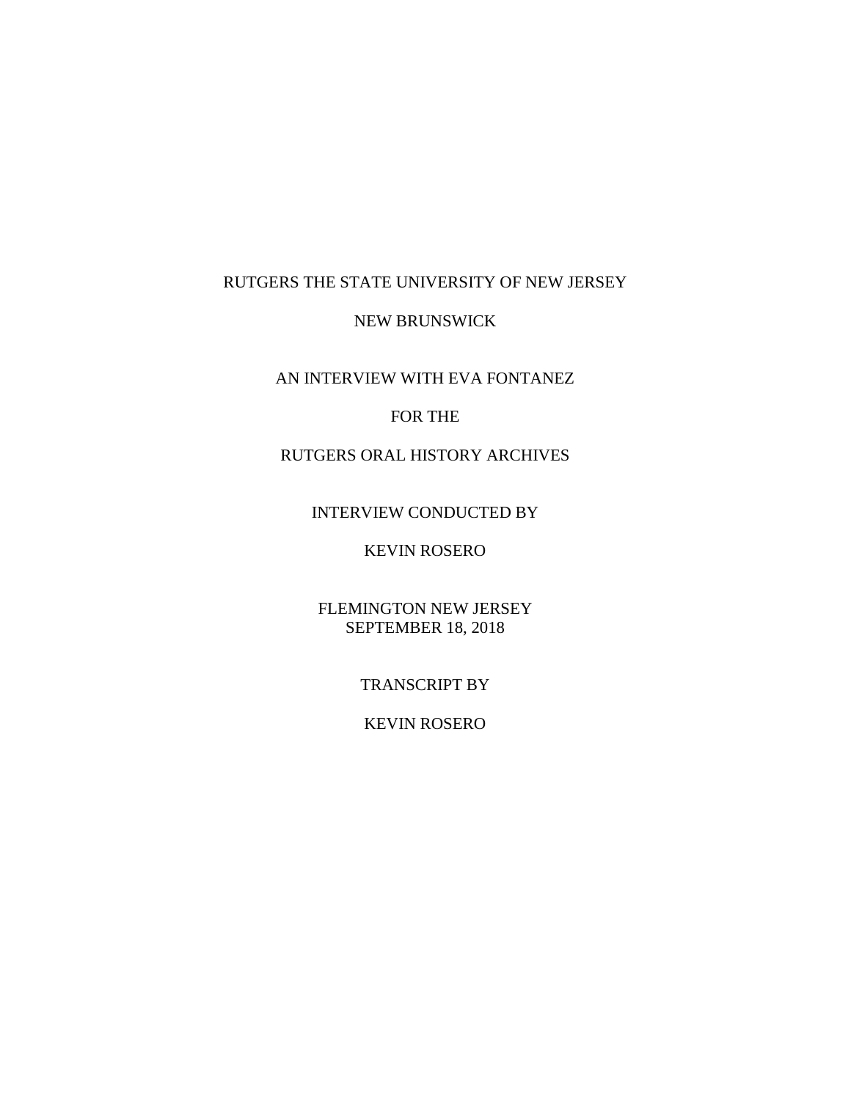# RUTGERS THE STATE UNIVERSITY OF NEW JERSEY

#### NEW BRUNSWICK

AN INTERVIEW WITH EVA FONTANEZ

### FOR THE

# RUTGERS ORAL HISTORY ARCHIVES

#### INTERVIEW CONDUCTED BY

# KEVIN ROSERO

## FLEMINGTON NEW JERSEY SEPTEMBER 18, 2018

## TRANSCRIPT BY

## KEVIN ROSERO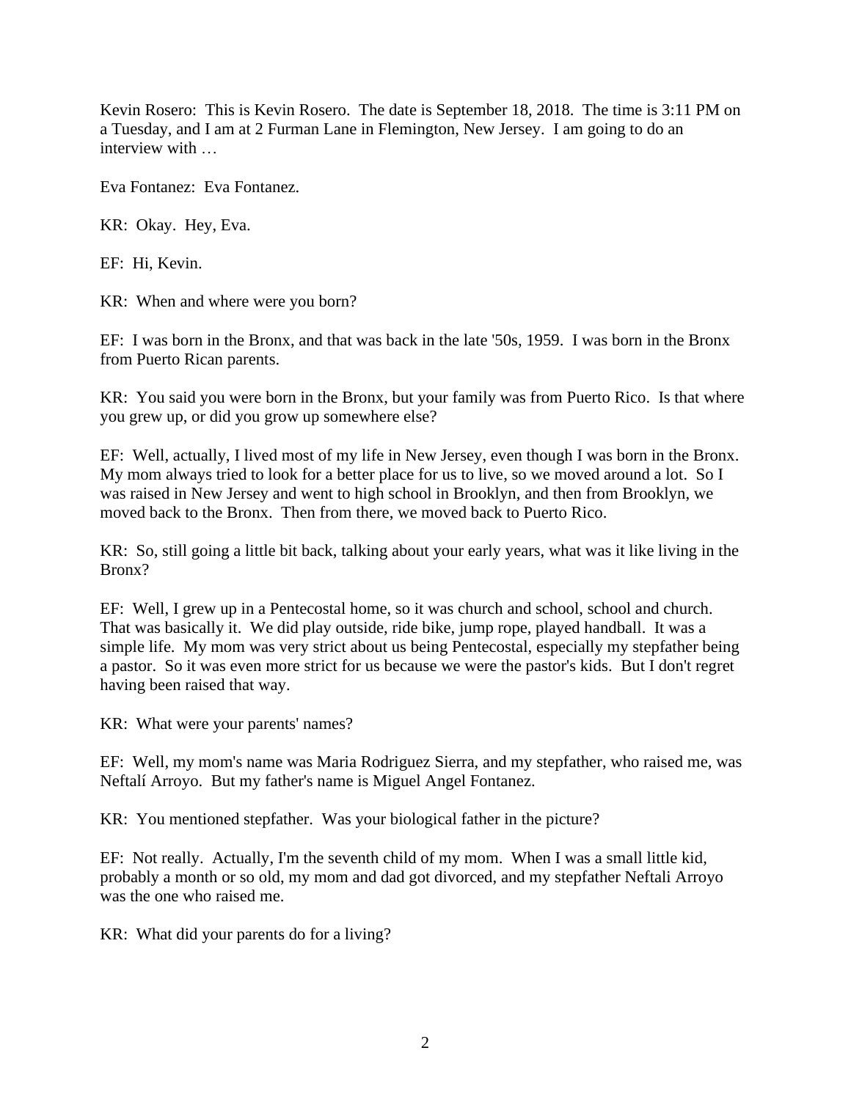Kevin Rosero: This is Kevin Rosero. The date is September 18, 2018. The time is 3:11 PM on a Tuesday, and I am at 2 Furman Lane in Flemington, New Jersey. I am going to do an interview with …

Eva Fontanez: Eva Fontanez.

KR: Okay. Hey, Eva.

EF: Hi, Kevin.

KR: When and where were you born?

EF: I was born in the Bronx, and that was back in the late '50s, 1959. I was born in the Bronx from Puerto Rican parents.

KR: You said you were born in the Bronx, but your family was from Puerto Rico. Is that where you grew up, or did you grow up somewhere else?

EF: Well, actually, I lived most of my life in New Jersey, even though I was born in the Bronx. My mom always tried to look for a better place for us to live, so we moved around a lot. So I was raised in New Jersey and went to high school in Brooklyn, and then from Brooklyn, we moved back to the Bronx. Then from there, we moved back to Puerto Rico.

KR: So, still going a little bit back, talking about your early years, what was it like living in the Bronx?

EF: Well, I grew up in a Pentecostal home, so it was church and school, school and church. That was basically it. We did play outside, ride bike, jump rope, played handball. It was a simple life. My mom was very strict about us being Pentecostal, especially my stepfather being a pastor. So it was even more strict for us because we were the pastor's kids. But I don't regret having been raised that way.

KR: What were your parents' names?

EF: Well, my mom's name was Maria Rodriguez Sierra, and my stepfather, who raised me, was Neftalí Arroyo. But my father's name is Miguel Angel Fontanez.

KR: You mentioned stepfather. Was your biological father in the picture?

EF: Not really. Actually, I'm the seventh child of my mom. When I was a small little kid, probably a month or so old, my mom and dad got divorced, and my stepfather Neftali Arroyo was the one who raised me.

KR: What did your parents do for a living?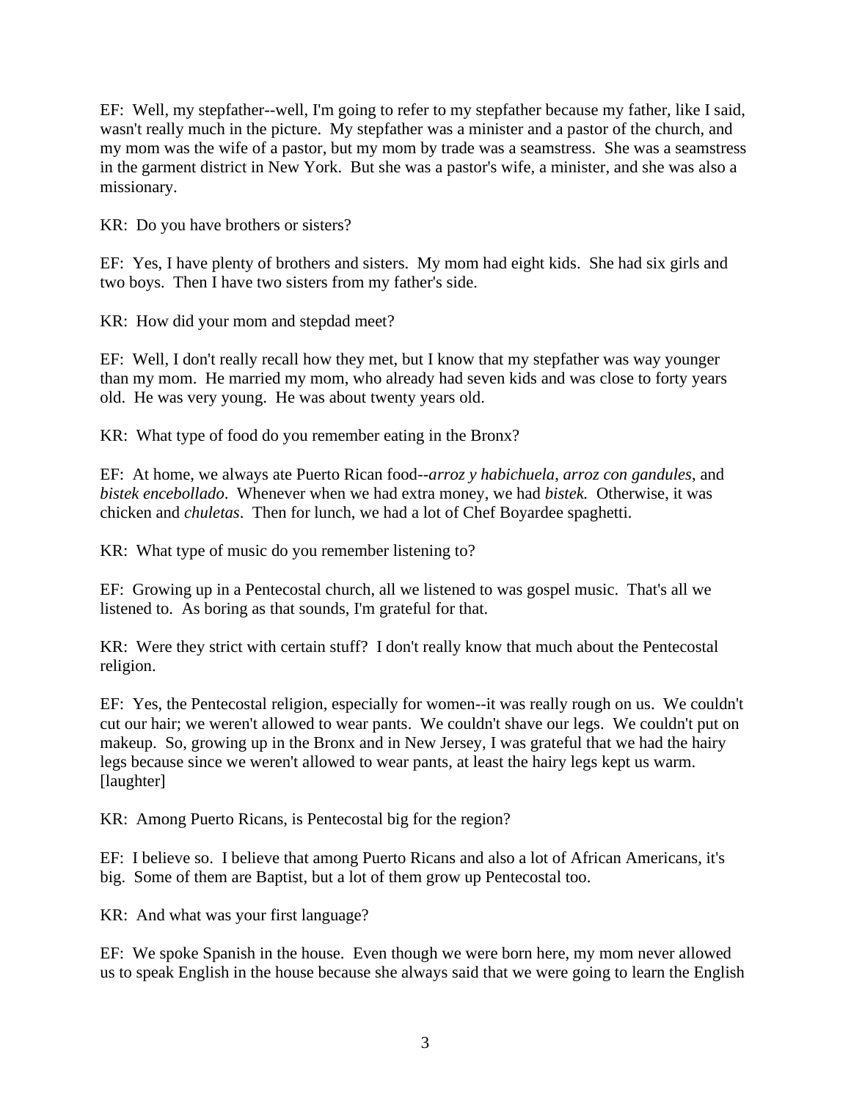EF: Well, my stepfather--well, I'm going to refer to my stepfather because my father, like I said, wasn't really much in the picture. My stepfather was a minister and a pastor of the church, and my mom was the wife of a pastor, but my mom by trade was a seamstress. She was a seamstress in the garment district in New York. But she was a pastor's wife, a minister, and she was also a missionary.

KR: Do you have brothers or sisters?

EF: Yes, I have plenty of brothers and sisters. My mom had eight kids. She had six girls and two boys. Then I have two sisters from my father's side.

KR: How did your mom and stepdad meet?

EF: Well, I don't really recall how they met, but I know that my stepfather was way younger than my mom. He married my mom, who already had seven kids and was close to forty years old. He was very young. He was about twenty years old.

KR: What type of food do you remember eating in the Bronx?

EF: At home, we always ate Puerto Rican food--*arroz y habichuela*, *arroz con gandules*, and *bistek encebollado*. Whenever when we had extra money, we had *bistek.* Otherwise, it was chicken and *chuletas*. Then for lunch, we had a lot of Chef Boyardee spaghetti.

KR: What type of music do you remember listening to?

EF: Growing up in a Pentecostal church, all we listened to was gospel music. That's all we listened to. As boring as that sounds, I'm grateful for that.

KR: Were they strict with certain stuff? I don't really know that much about the Pentecostal religion.

EF: Yes, the Pentecostal religion, especially for women--it was really rough on us. We couldn't cut our hair; we weren't allowed to wear pants. We couldn't shave our legs. We couldn't put on makeup. So, growing up in the Bronx and in New Jersey, I was grateful that we had the hairy legs because since we weren't allowed to wear pants, at least the hairy legs kept us warm. [laughter]

KR: Among Puerto Ricans, is Pentecostal big for the region?

EF: I believe so. I believe that among Puerto Ricans and also a lot of African Americans, it's big. Some of them are Baptist, but a lot of them grow up Pentecostal too.

KR: And what was your first language?

EF: We spoke Spanish in the house. Even though we were born here, my mom never allowed us to speak English in the house because she always said that we were going to learn the English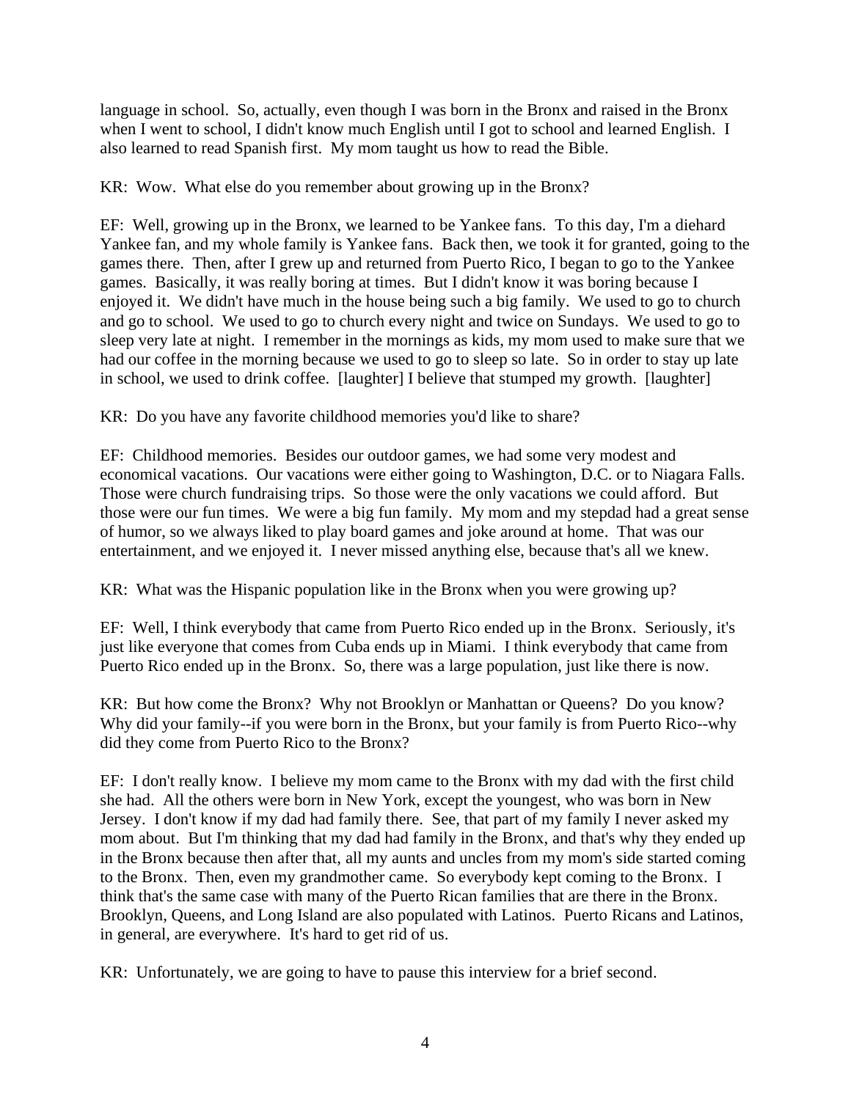language in school. So, actually, even though I was born in the Bronx and raised in the Bronx when I went to school, I didn't know much English until I got to school and learned English. I also learned to read Spanish first. My mom taught us how to read the Bible.

KR: Wow. What else do you remember about growing up in the Bronx?

EF: Well, growing up in the Bronx, we learned to be Yankee fans. To this day, I'm a diehard Yankee fan, and my whole family is Yankee fans. Back then, we took it for granted, going to the games there. Then, after I grew up and returned from Puerto Rico, I began to go to the Yankee games. Basically, it was really boring at times. But I didn't know it was boring because I enjoyed it. We didn't have much in the house being such a big family. We used to go to church and go to school. We used to go to church every night and twice on Sundays. We used to go to sleep very late at night. I remember in the mornings as kids, my mom used to make sure that we had our coffee in the morning because we used to go to sleep so late. So in order to stay up late in school, we used to drink coffee. [laughter] I believe that stumped my growth. [laughter]

KR: Do you have any favorite childhood memories you'd like to share?

EF: Childhood memories. Besides our outdoor games, we had some very modest and economical vacations. Our vacations were either going to Washington, D.C. or to Niagara Falls. Those were church fundraising trips. So those were the only vacations we could afford. But those were our fun times. We were a big fun family. My mom and my stepdad had a great sense of humor, so we always liked to play board games and joke around at home. That was our entertainment, and we enjoyed it. I never missed anything else, because that's all we knew.

KR: What was the Hispanic population like in the Bronx when you were growing up?

EF: Well, I think everybody that came from Puerto Rico ended up in the Bronx. Seriously, it's just like everyone that comes from Cuba ends up in Miami. I think everybody that came from Puerto Rico ended up in the Bronx. So, there was a large population, just like there is now.

KR: But how come the Bronx? Why not Brooklyn or Manhattan or Queens? Do you know? Why did your family--if you were born in the Bronx, but your family is from Puerto Rico--why did they come from Puerto Rico to the Bronx?

EF: I don't really know. I believe my mom came to the Bronx with my dad with the first child she had. All the others were born in New York, except the youngest, who was born in New Jersey. I don't know if my dad had family there. See, that part of my family I never asked my mom about. But I'm thinking that my dad had family in the Bronx, and that's why they ended up in the Bronx because then after that, all my aunts and uncles from my mom's side started coming to the Bronx. Then, even my grandmother came. So everybody kept coming to the Bronx. I think that's the same case with many of the Puerto Rican families that are there in the Bronx. Brooklyn, Queens, and Long Island are also populated with Latinos. Puerto Ricans and Latinos, in general, are everywhere. It's hard to get rid of us.

KR: Unfortunately, we are going to have to pause this interview for a brief second.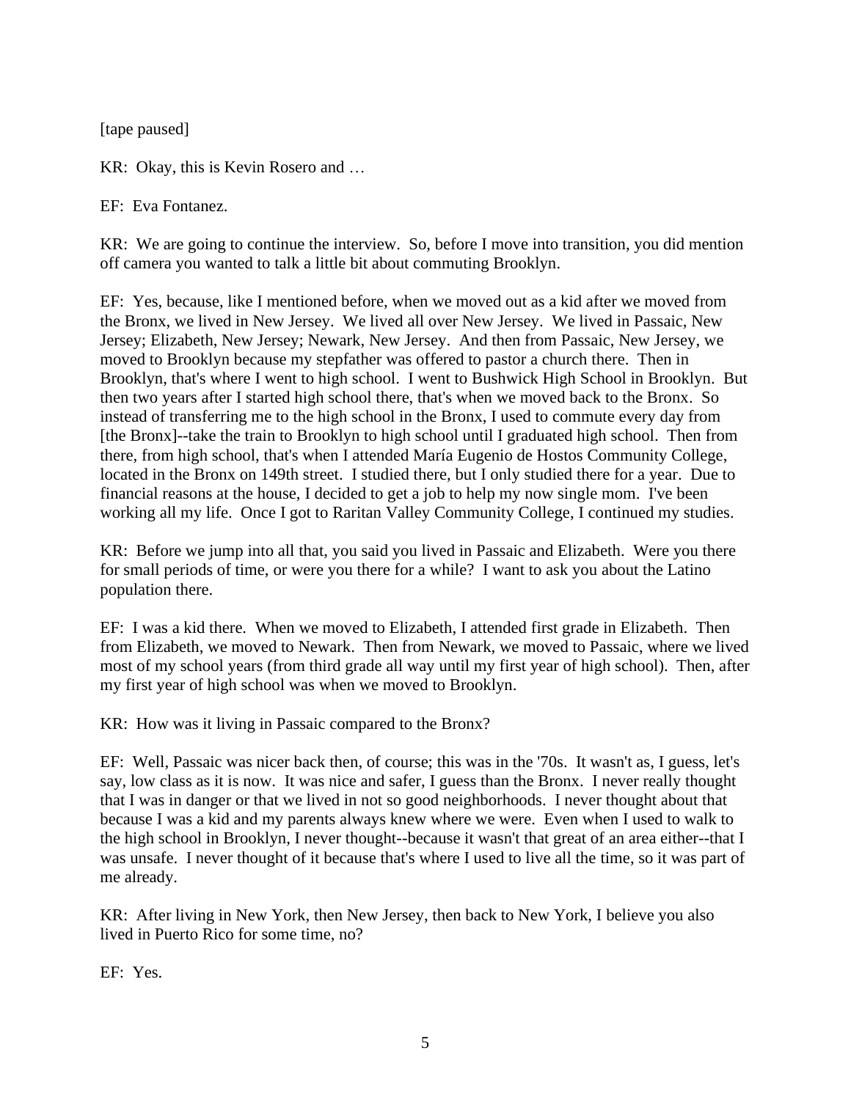[tape paused]

KR: Okay, this is Kevin Rosero and …

EF: Eva Fontanez.

KR: We are going to continue the interview. So, before I move into transition, you did mention off camera you wanted to talk a little bit about commuting Brooklyn.

EF: Yes, because, like I mentioned before, when we moved out as a kid after we moved from the Bronx, we lived in New Jersey. We lived all over New Jersey. We lived in Passaic, New Jersey; Elizabeth, New Jersey; Newark, New Jersey. And then from Passaic, New Jersey, we moved to Brooklyn because my stepfather was offered to pastor a church there. Then in Brooklyn, that's where I went to high school. I went to Bushwick High School in Brooklyn. But then two years after I started high school there, that's when we moved back to the Bronx. So instead of transferring me to the high school in the Bronx, I used to commute every day from [the Bronx]--take the train to Brooklyn to high school until I graduated high school. Then from there, from high school, that's when I attended María Eugenio de Hostos Community College, located in the Bronx on 149th street. I studied there, but I only studied there for a year. Due to financial reasons at the house, I decided to get a job to help my now single mom. I've been working all my life. Once I got to Raritan Valley Community College, I continued my studies.

KR: Before we jump into all that, you said you lived in Passaic and Elizabeth. Were you there for small periods of time, or were you there for a while? I want to ask you about the Latino population there.

EF: I was a kid there. When we moved to Elizabeth, I attended first grade in Elizabeth. Then from Elizabeth, we moved to Newark. Then from Newark, we moved to Passaic, where we lived most of my school years (from third grade all way until my first year of high school). Then, after my first year of high school was when we moved to Brooklyn.

KR: How was it living in Passaic compared to the Bronx?

EF: Well, Passaic was nicer back then, of course; this was in the '70s. It wasn't as, I guess, let's say, low class as it is now. It was nice and safer, I guess than the Bronx. I never really thought that I was in danger or that we lived in not so good neighborhoods. I never thought about that because I was a kid and my parents always knew where we were. Even when I used to walk to the high school in Brooklyn, I never thought--because it wasn't that great of an area either--that I was unsafe. I never thought of it because that's where I used to live all the time, so it was part of me already.

KR: After living in New York, then New Jersey, then back to New York, I believe you also lived in Puerto Rico for some time, no?

EF: Yes.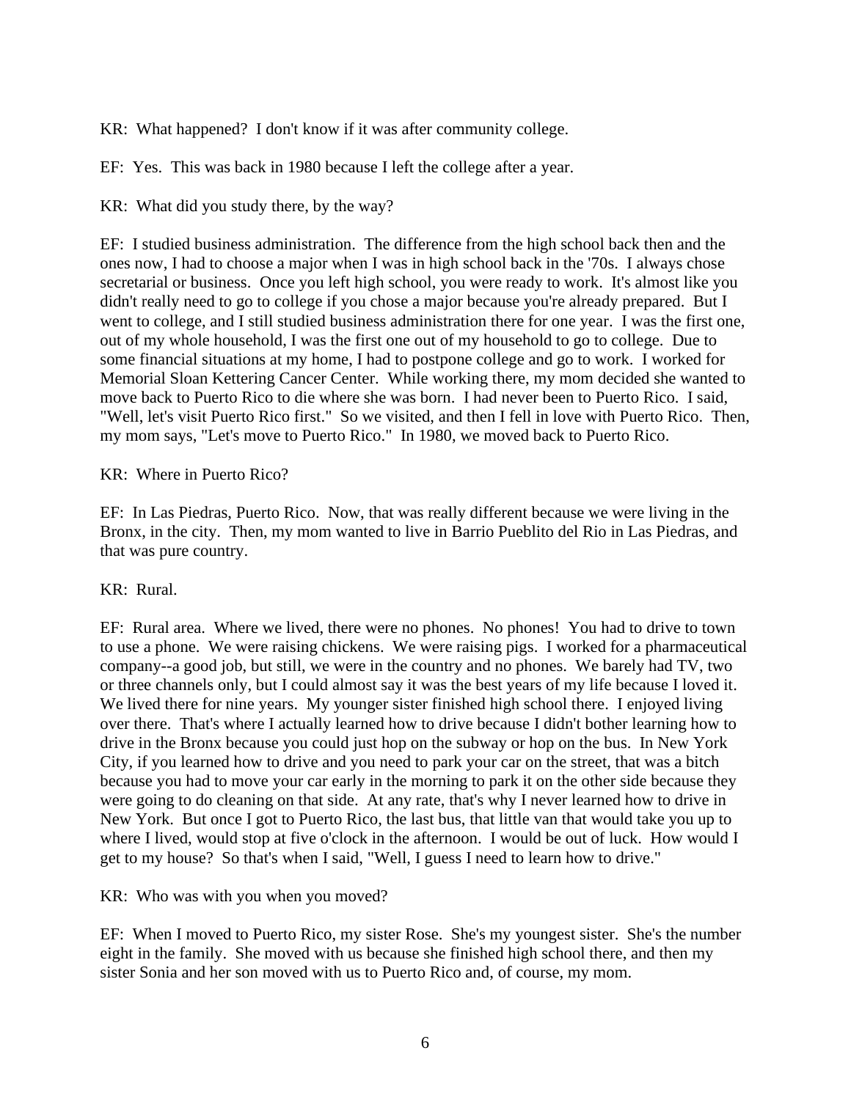KR: What happened? I don't know if it was after community college.

EF: Yes. This was back in 1980 because I left the college after a year.

KR: What did you study there, by the way?

EF: I studied business administration. The difference from the high school back then and the ones now, I had to choose a major when I was in high school back in the '70s. I always chose secretarial or business. Once you left high school, you were ready to work. It's almost like you didn't really need to go to college if you chose a major because you're already prepared. But I went to college, and I still studied business administration there for one year. I was the first one, out of my whole household, I was the first one out of my household to go to college. Due to some financial situations at my home, I had to postpone college and go to work. I worked for Memorial Sloan Kettering Cancer Center. While working there, my mom decided she wanted to move back to Puerto Rico to die where she was born. I had never been to Puerto Rico. I said, "Well, let's visit Puerto Rico first." So we visited, and then I fell in love with Puerto Rico. Then, my mom says, "Let's move to Puerto Rico." In 1980, we moved back to Puerto Rico.

#### KR: Where in Puerto Rico?

EF: In Las Piedras, Puerto Rico. Now, that was really different because we were living in the Bronx, in the city. Then, my mom wanted to live in Barrio Pueblito del Rio in Las Piedras, and that was pure country.

#### KR: Rural.

EF: Rural area. Where we lived, there were no phones. No phones! You had to drive to town to use a phone. We were raising chickens. We were raising pigs. I worked for a pharmaceutical company--a good job, but still, we were in the country and no phones. We barely had TV, two or three channels only, but I could almost say it was the best years of my life because I loved it. We lived there for nine years. My younger sister finished high school there. I enjoyed living over there. That's where I actually learned how to drive because I didn't bother learning how to drive in the Bronx because you could just hop on the subway or hop on the bus. In New York City, if you learned how to drive and you need to park your car on the street, that was a bitch because you had to move your car early in the morning to park it on the other side because they were going to do cleaning on that side. At any rate, that's why I never learned how to drive in New York. But once I got to Puerto Rico, the last bus, that little van that would take you up to where I lived, would stop at five o'clock in the afternoon. I would be out of luck. How would I get to my house? So that's when I said, "Well, I guess I need to learn how to drive."

KR: Who was with you when you moved?

EF: When I moved to Puerto Rico, my sister Rose. She's my youngest sister. She's the number eight in the family. She moved with us because she finished high school there, and then my sister Sonia and her son moved with us to Puerto Rico and, of course, my mom.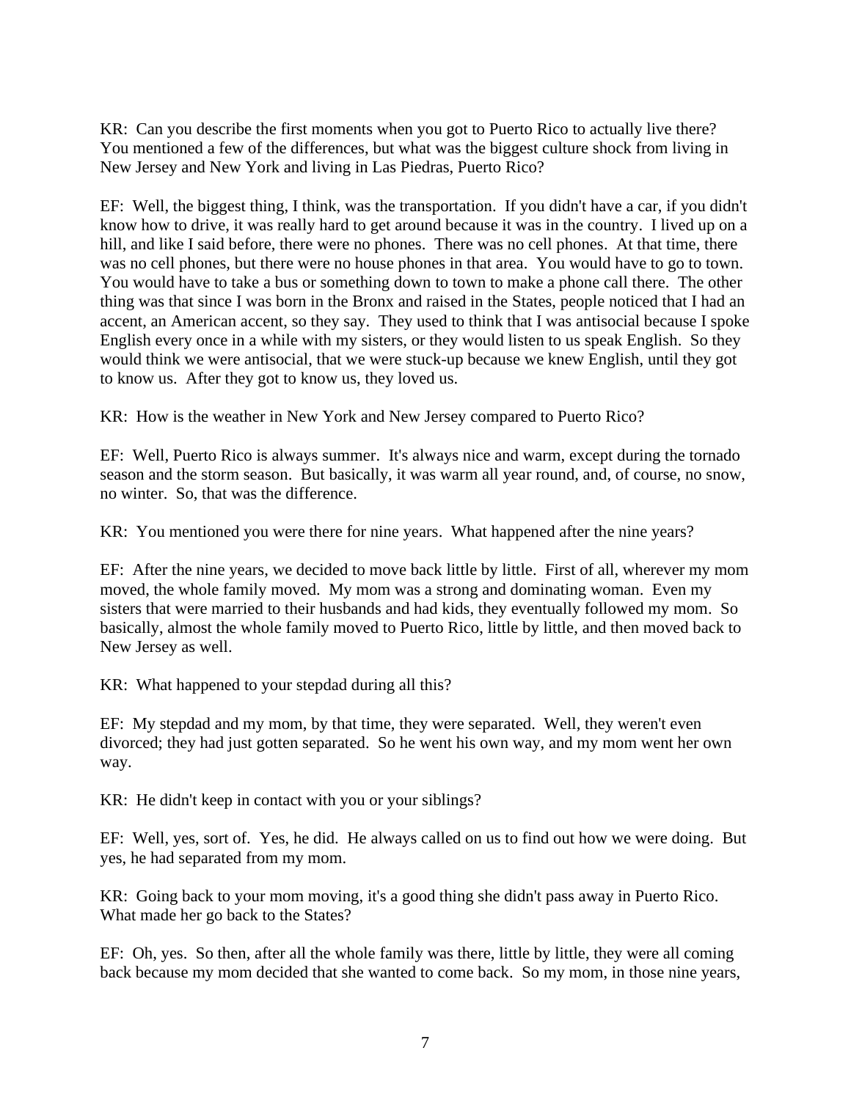KR: Can you describe the first moments when you got to Puerto Rico to actually live there? You mentioned a few of the differences, but what was the biggest culture shock from living in New Jersey and New York and living in Las Piedras, Puerto Rico?

EF: Well, the biggest thing, I think, was the transportation. If you didn't have a car, if you didn't know how to drive, it was really hard to get around because it was in the country. I lived up on a hill, and like I said before, there were no phones. There was no cell phones. At that time, there was no cell phones, but there were no house phones in that area. You would have to go to town. You would have to take a bus or something down to town to make a phone call there. The other thing was that since I was born in the Bronx and raised in the States, people noticed that I had an accent, an American accent, so they say. They used to think that I was antisocial because I spoke English every once in a while with my sisters, or they would listen to us speak English. So they would think we were antisocial, that we were stuck-up because we knew English, until they got to know us. After they got to know us, they loved us.

KR: How is the weather in New York and New Jersey compared to Puerto Rico?

EF: Well, Puerto Rico is always summer. It's always nice and warm, except during the tornado season and the storm season. But basically, it was warm all year round, and, of course, no snow, no winter. So, that was the difference.

KR: You mentioned you were there for nine years. What happened after the nine years?

EF: After the nine years, we decided to move back little by little. First of all, wherever my mom moved, the whole family moved. My mom was a strong and dominating woman. Even my sisters that were married to their husbands and had kids, they eventually followed my mom. So basically, almost the whole family moved to Puerto Rico, little by little, and then moved back to New Jersey as well.

KR: What happened to your stepdad during all this?

EF: My stepdad and my mom, by that time, they were separated. Well, they weren't even divorced; they had just gotten separated. So he went his own way, and my mom went her own way.

KR: He didn't keep in contact with you or your siblings?

EF: Well, yes, sort of. Yes, he did. He always called on us to find out how we were doing. But yes, he had separated from my mom.

KR: Going back to your mom moving, it's a good thing she didn't pass away in Puerto Rico. What made her go back to the States?

EF: Oh, yes. So then, after all the whole family was there, little by little, they were all coming back because my mom decided that she wanted to come back. So my mom, in those nine years,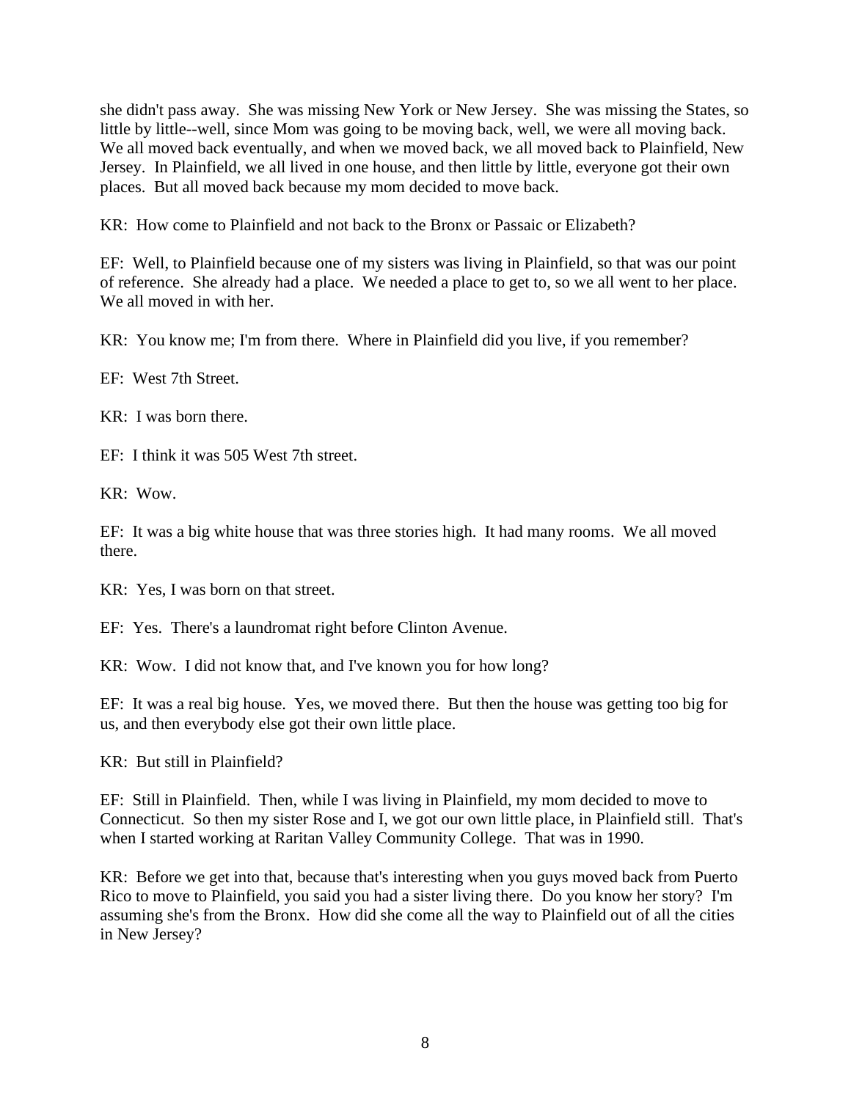she didn't pass away. She was missing New York or New Jersey. She was missing the States, so little by little--well, since Mom was going to be moving back, well, we were all moving back. We all moved back eventually, and when we moved back, we all moved back to Plainfield, New Jersey. In Plainfield, we all lived in one house, and then little by little, everyone got their own places. But all moved back because my mom decided to move back.

KR: How come to Plainfield and not back to the Bronx or Passaic or Elizabeth?

EF: Well, to Plainfield because one of my sisters was living in Plainfield, so that was our point of reference. She already had a place. We needed a place to get to, so we all went to her place. We all moved in with her.

KR: You know me; I'm from there. Where in Plainfield did you live, if you remember?

EF: West 7th Street.

KR: I was born there.

EF: I think it was 505 West 7th street.

KR: Wow.

EF: It was a big white house that was three stories high. It had many rooms. We all moved there.

KR: Yes, I was born on that street.

EF: Yes. There's a laundromat right before Clinton Avenue.

KR: Wow. I did not know that, and I've known you for how long?

EF: It was a real big house. Yes, we moved there. But then the house was getting too big for us, and then everybody else got their own little place.

KR: But still in Plainfield?

EF: Still in Plainfield. Then, while I was living in Plainfield, my mom decided to move to Connecticut. So then my sister Rose and I, we got our own little place, in Plainfield still. That's when I started working at Raritan Valley Community College. That was in 1990.

KR: Before we get into that, because that's interesting when you guys moved back from Puerto Rico to move to Plainfield, you said you had a sister living there. Do you know her story? I'm assuming she's from the Bronx. How did she come all the way to Plainfield out of all the cities in New Jersey?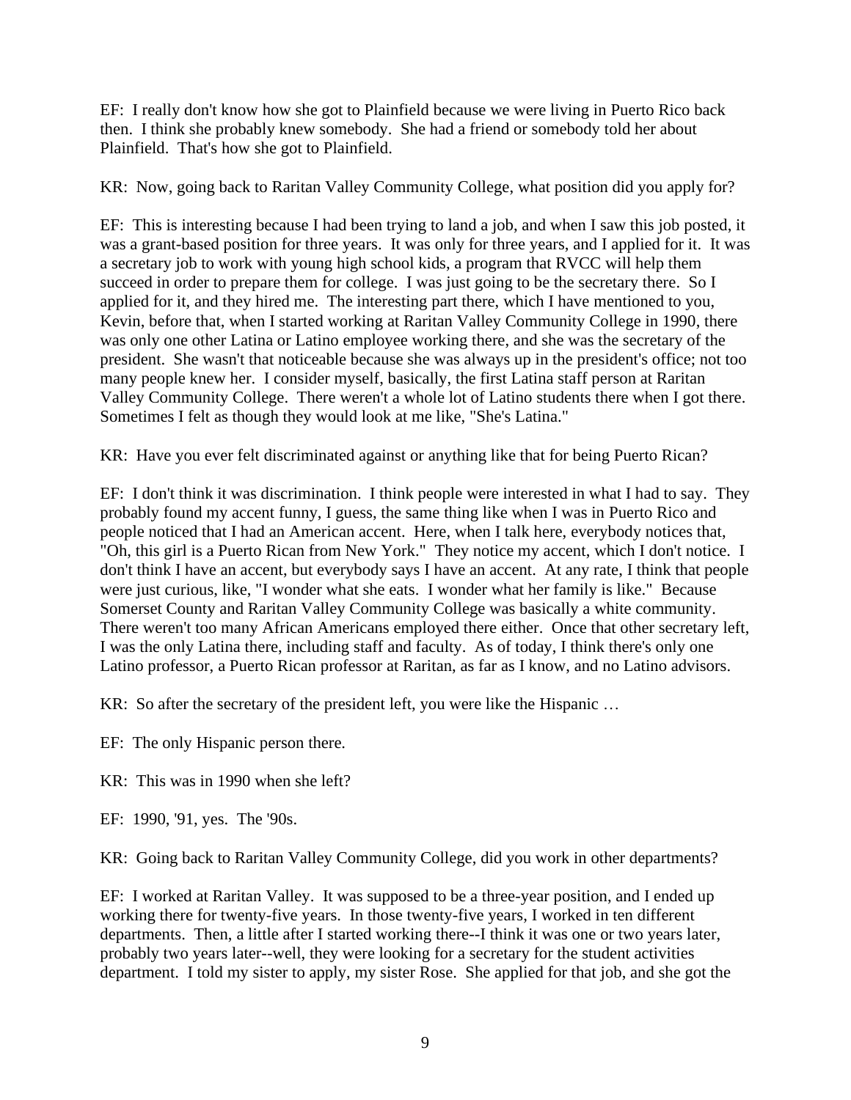EF: I really don't know how she got to Plainfield because we were living in Puerto Rico back then. I think she probably knew somebody. She had a friend or somebody told her about Plainfield. That's how she got to Plainfield.

KR: Now, going back to Raritan Valley Community College, what position did you apply for?

EF: This is interesting because I had been trying to land a job, and when I saw this job posted, it was a grant-based position for three years. It was only for three years, and I applied for it. It was a secretary job to work with young high school kids, a program that RVCC will help them succeed in order to prepare them for college. I was just going to be the secretary there. So I applied for it, and they hired me. The interesting part there, which I have mentioned to you, Kevin, before that, when I started working at Raritan Valley Community College in 1990, there was only one other Latina or Latino employee working there, and she was the secretary of the president. She wasn't that noticeable because she was always up in the president's office; not too many people knew her. I consider myself, basically, the first Latina staff person at Raritan Valley Community College. There weren't a whole lot of Latino students there when I got there. Sometimes I felt as though they would look at me like, "She's Latina."

KR: Have you ever felt discriminated against or anything like that for being Puerto Rican?

EF: I don't think it was discrimination. I think people were interested in what I had to say. They probably found my accent funny, I guess, the same thing like when I was in Puerto Rico and people noticed that I had an American accent. Here, when I talk here, everybody notices that, "Oh, this girl is a Puerto Rican from New York." They notice my accent, which I don't notice. I don't think I have an accent, but everybody says I have an accent. At any rate, I think that people were just curious, like, "I wonder what she eats. I wonder what her family is like." Because Somerset County and Raritan Valley Community College was basically a white community. There weren't too many African Americans employed there either. Once that other secretary left, I was the only Latina there, including staff and faculty. As of today, I think there's only one Latino professor, a Puerto Rican professor at Raritan, as far as I know, and no Latino advisors.

KR: So after the secretary of the president left, you were like the Hispanic ...

EF: The only Hispanic person there.

KR: This was in 1990 when she left?

EF: 1990, '91, yes. The '90s.

KR: Going back to Raritan Valley Community College, did you work in other departments?

EF: I worked at Raritan Valley. It was supposed to be a three-year position, and I ended up working there for twenty-five years. In those twenty-five years, I worked in ten different departments. Then, a little after I started working there--I think it was one or two years later, probably two years later--well, they were looking for a secretary for the student activities department. I told my sister to apply, my sister Rose. She applied for that job, and she got the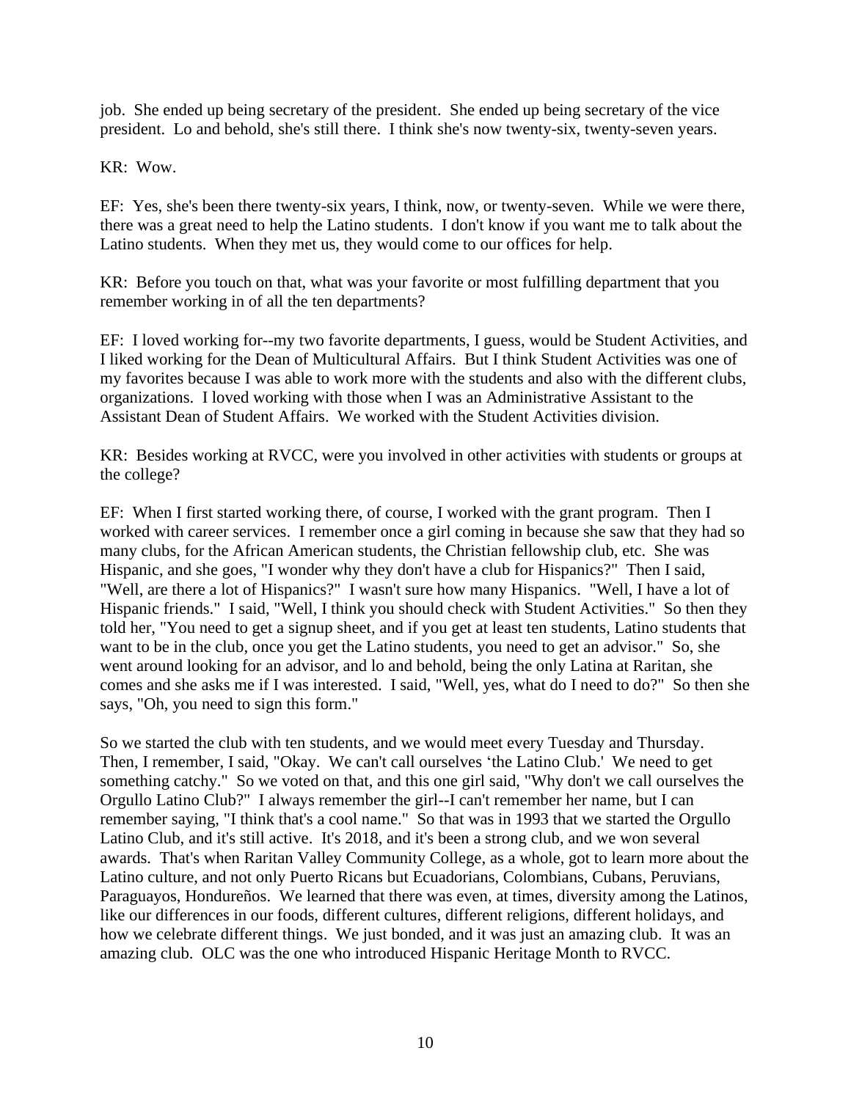job. She ended up being secretary of the president. She ended up being secretary of the vice president. Lo and behold, she's still there. I think she's now twenty-six, twenty-seven years.

KR: Wow.

EF: Yes, she's been there twenty-six years, I think, now, or twenty-seven. While we were there, there was a great need to help the Latino students. I don't know if you want me to talk about the Latino students. When they met us, they would come to our offices for help.

KR: Before you touch on that, what was your favorite or most fulfilling department that you remember working in of all the ten departments?

EF: I loved working for--my two favorite departments, I guess, would be Student Activities, and I liked working for the Dean of Multicultural Affairs. But I think Student Activities was one of my favorites because I was able to work more with the students and also with the different clubs, organizations. I loved working with those when I was an Administrative Assistant to the Assistant Dean of Student Affairs. We worked with the Student Activities division.

KR: Besides working at RVCC, were you involved in other activities with students or groups at the college?

EF: When I first started working there, of course, I worked with the grant program. Then I worked with career services. I remember once a girl coming in because she saw that they had so many clubs, for the African American students, the Christian fellowship club, etc. She was Hispanic, and she goes, "I wonder why they don't have a club for Hispanics?" Then I said, "Well, are there a lot of Hispanics?" I wasn't sure how many Hispanics. "Well, I have a lot of Hispanic friends." I said, "Well, I think you should check with Student Activities." So then they told her, "You need to get a signup sheet, and if you get at least ten students, Latino students that want to be in the club, once you get the Latino students, you need to get an advisor." So, she went around looking for an advisor, and lo and behold, being the only Latina at Raritan, she comes and she asks me if I was interested. I said, "Well, yes, what do I need to do?" So then she says, "Oh, you need to sign this form."

So we started the club with ten students, and we would meet every Tuesday and Thursday. Then, I remember, I said, "Okay. We can't call ourselves 'the Latino Club.' We need to get something catchy." So we voted on that, and this one girl said, "Why don't we call ourselves the Orgullo Latino Club?" I always remember the girl--I can't remember her name, but I can remember saying, "I think that's a cool name." So that was in 1993 that we started the Orgullo Latino Club, and it's still active. It's 2018, and it's been a strong club, and we won several awards. That's when Raritan Valley Community College, as a whole, got to learn more about the Latino culture, and not only Puerto Ricans but Ecuadorians, Colombians, Cubans, Peruvians, Paraguayos, Hondureños. We learned that there was even, at times, diversity among the Latinos, like our differences in our foods, different cultures, different religions, different holidays, and how we celebrate different things. We just bonded, and it was just an amazing club. It was an amazing club. OLC was the one who introduced Hispanic Heritage Month to RVCC.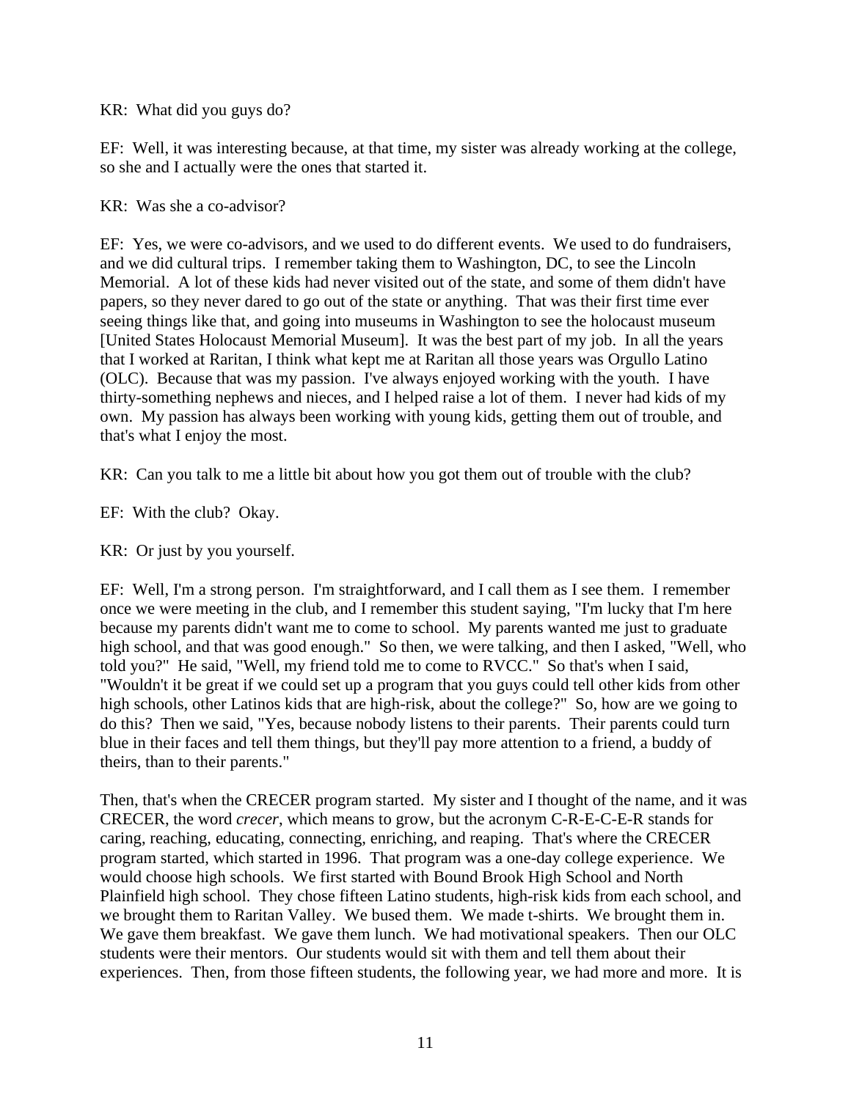#### KR: What did you guys do?

EF: Well, it was interesting because, at that time, my sister was already working at the college, so she and I actually were the ones that started it.

#### KR: Was she a co-advisor?

EF: Yes, we were co-advisors, and we used to do different events. We used to do fundraisers, and we did cultural trips. I remember taking them to Washington, DC, to see the Lincoln Memorial. A lot of these kids had never visited out of the state, and some of them didn't have papers, so they never dared to go out of the state or anything. That was their first time ever seeing things like that, and going into museums in Washington to see the holocaust museum [United States Holocaust Memorial Museum]. It was the best part of my job. In all the years that I worked at Raritan, I think what kept me at Raritan all those years was Orgullo Latino (OLC). Because that was my passion. I've always enjoyed working with the youth. I have thirty-something nephews and nieces, and I helped raise a lot of them. I never had kids of my own. My passion has always been working with young kids, getting them out of trouble, and that's what I enjoy the most.

KR: Can you talk to me a little bit about how you got them out of trouble with the club?

EF: With the club? Okay.

KR: Or just by you yourself.

EF: Well, I'm a strong person. I'm straightforward, and I call them as I see them. I remember once we were meeting in the club, and I remember this student saying, "I'm lucky that I'm here because my parents didn't want me to come to school. My parents wanted me just to graduate high school, and that was good enough." So then, we were talking, and then I asked, "Well, who told you?" He said, "Well, my friend told me to come to RVCC." So that's when I said, "Wouldn't it be great if we could set up a program that you guys could tell other kids from other high schools, other Latinos kids that are high-risk, about the college?" So, how are we going to do this? Then we said, "Yes, because nobody listens to their parents. Their parents could turn blue in their faces and tell them things, but they'll pay more attention to a friend, a buddy of theirs, than to their parents."

Then, that's when the CRECER program started. My sister and I thought of the name, and it was CRECER, the word *crecer*, which means to grow, but the acronym C-R-E-C-E-R stands for caring, reaching, educating, connecting, enriching, and reaping. That's where the CRECER program started, which started in 1996. That program was a one-day college experience. We would choose high schools. We first started with Bound Brook High School and North Plainfield high school. They chose fifteen Latino students, high-risk kids from each school, and we brought them to Raritan Valley. We bused them. We made t-shirts. We brought them in. We gave them breakfast. We gave them lunch. We had motivational speakers. Then our OLC students were their mentors. Our students would sit with them and tell them about their experiences. Then, from those fifteen students, the following year, we had more and more. It is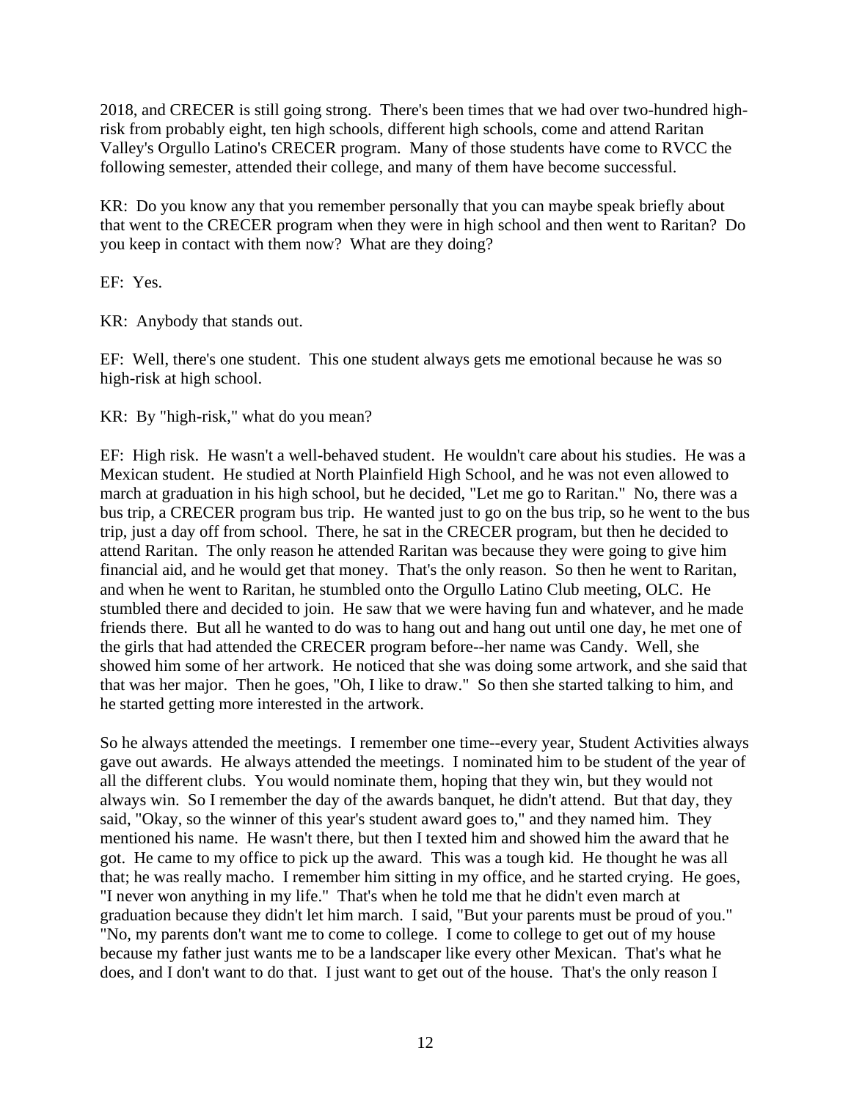2018, and CRECER is still going strong. There's been times that we had over two-hundred highrisk from probably eight, ten high schools, different high schools, come and attend Raritan Valley's Orgullo Latino's CRECER program. Many of those students have come to RVCC the following semester, attended their college, and many of them have become successful.

KR: Do you know any that you remember personally that you can maybe speak briefly about that went to the CRECER program when they were in high school and then went to Raritan? Do you keep in contact with them now? What are they doing?

EF: Yes.

KR: Anybody that stands out.

EF: Well, there's one student. This one student always gets me emotional because he was so high-risk at high school.

KR: By "high-risk," what do you mean?

EF: High risk. He wasn't a well-behaved student. He wouldn't care about his studies. He was a Mexican student. He studied at North Plainfield High School, and he was not even allowed to march at graduation in his high school, but he decided, "Let me go to Raritan." No, there was a bus trip, a CRECER program bus trip. He wanted just to go on the bus trip, so he went to the bus trip, just a day off from school. There, he sat in the CRECER program, but then he decided to attend Raritan. The only reason he attended Raritan was because they were going to give him financial aid, and he would get that money. That's the only reason. So then he went to Raritan, and when he went to Raritan, he stumbled onto the Orgullo Latino Club meeting, OLC. He stumbled there and decided to join. He saw that we were having fun and whatever, and he made friends there. But all he wanted to do was to hang out and hang out until one day, he met one of the girls that had attended the CRECER program before--her name was Candy. Well, she showed him some of her artwork. He noticed that she was doing some artwork, and she said that that was her major. Then he goes, "Oh, I like to draw." So then she started talking to him, and he started getting more interested in the artwork.

So he always attended the meetings. I remember one time--every year, Student Activities always gave out awards. He always attended the meetings. I nominated him to be student of the year of all the different clubs. You would nominate them, hoping that they win, but they would not always win. So I remember the day of the awards banquet, he didn't attend. But that day, they said, "Okay, so the winner of this year's student award goes to," and they named him. They mentioned his name. He wasn't there, but then I texted him and showed him the award that he got. He came to my office to pick up the award. This was a tough kid. He thought he was all that; he was really macho. I remember him sitting in my office, and he started crying. He goes, "I never won anything in my life." That's when he told me that he didn't even march at graduation because they didn't let him march. I said, "But your parents must be proud of you." "No, my parents don't want me to come to college. I come to college to get out of my house because my father just wants me to be a landscaper like every other Mexican. That's what he does, and I don't want to do that. I just want to get out of the house. That's the only reason I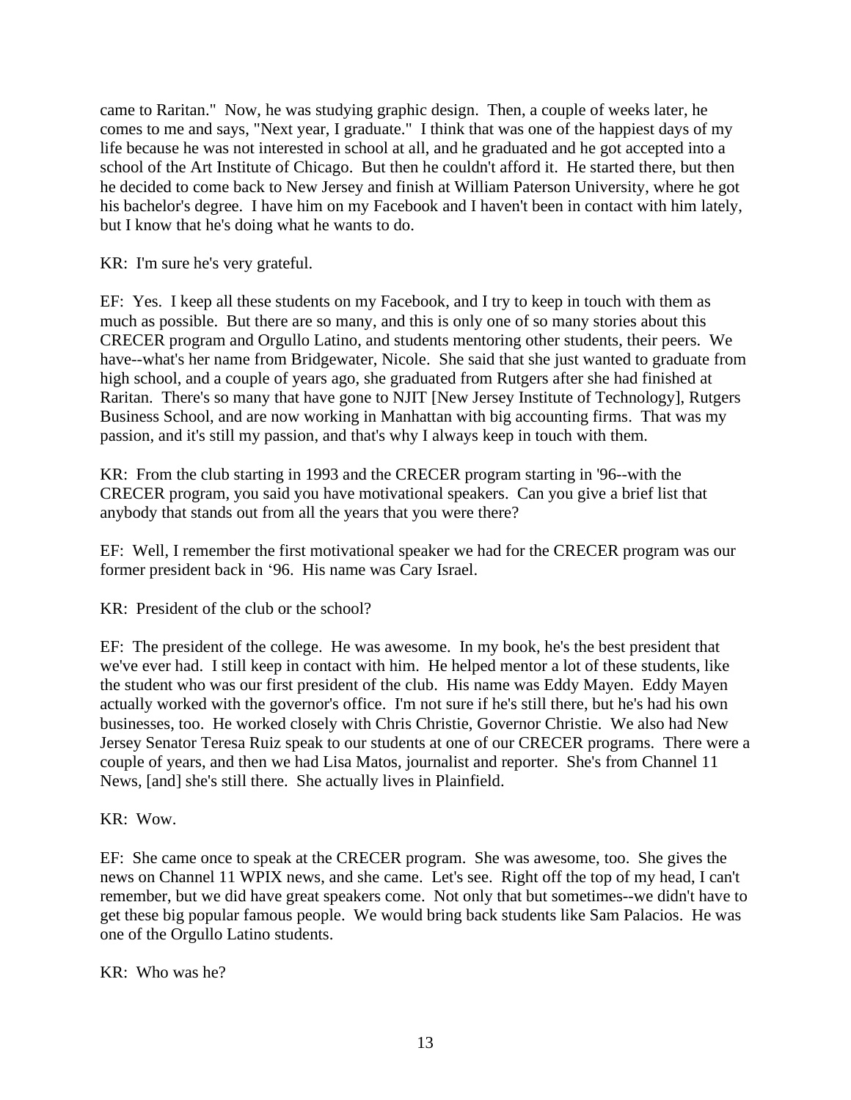came to Raritan." Now, he was studying graphic design. Then, a couple of weeks later, he comes to me and says, "Next year, I graduate." I think that was one of the happiest days of my life because he was not interested in school at all, and he graduated and he got accepted into a school of the Art Institute of Chicago. But then he couldn't afford it. He started there, but then he decided to come back to New Jersey and finish at William Paterson University, where he got his bachelor's degree. I have him on my Facebook and I haven't been in contact with him lately, but I know that he's doing what he wants to do.

KR: I'm sure he's very grateful.

EF: Yes. I keep all these students on my Facebook, and I try to keep in touch with them as much as possible. But there are so many, and this is only one of so many stories about this CRECER program and Orgullo Latino, and students mentoring other students, their peers. We have--what's her name from Bridgewater, Nicole. She said that she just wanted to graduate from high school, and a couple of years ago, she graduated from Rutgers after she had finished at Raritan. There's so many that have gone to NJIT [New Jersey Institute of Technology], Rutgers Business School, and are now working in Manhattan with big accounting firms. That was my passion, and it's still my passion, and that's why I always keep in touch with them.

KR: From the club starting in 1993 and the CRECER program starting in '96--with the CRECER program, you said you have motivational speakers. Can you give a brief list that anybody that stands out from all the years that you were there?

EF: Well, I remember the first motivational speaker we had for the CRECER program was our former president back in '96. His name was Cary Israel.

KR: President of the club or the school?

EF: The president of the college. He was awesome. In my book, he's the best president that we've ever had. I still keep in contact with him. He helped mentor a lot of these students, like the student who was our first president of the club. His name was Eddy Mayen. Eddy Mayen actually worked with the governor's office. I'm not sure if he's still there, but he's had his own businesses, too. He worked closely with Chris Christie, Governor Christie. We also had New Jersey Senator Teresa Ruiz speak to our students at one of our CRECER programs. There were a couple of years, and then we had Lisa Matos, journalist and reporter. She's from Channel 11 News, [and] she's still there. She actually lives in Plainfield.

KR: Wow.

EF: She came once to speak at the CRECER program. She was awesome, too. She gives the news on Channel 11 WPIX news, and she came. Let's see. Right off the top of my head, I can't remember, but we did have great speakers come. Not only that but sometimes--we didn't have to get these big popular famous people. We would bring back students like Sam Palacios. He was one of the Orgullo Latino students.

KR: Who was he?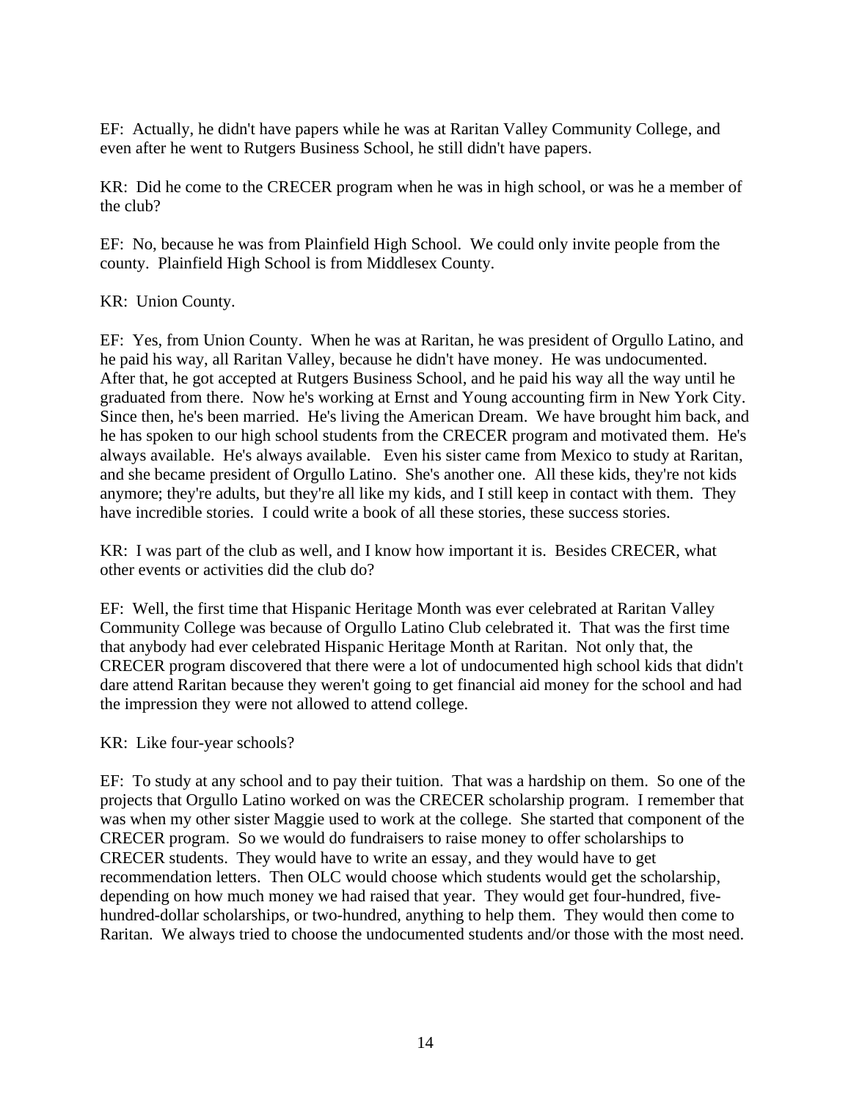EF: Actually, he didn't have papers while he was at Raritan Valley Community College, and even after he went to Rutgers Business School, he still didn't have papers.

KR: Did he come to the CRECER program when he was in high school, or was he a member of the club?

EF: No, because he was from Plainfield High School. We could only invite people from the county. Plainfield High School is from Middlesex County.

KR: Union County.

EF: Yes, from Union County. When he was at Raritan, he was president of Orgullo Latino, and he paid his way, all Raritan Valley, because he didn't have money. He was undocumented. After that, he got accepted at Rutgers Business School, and he paid his way all the way until he graduated from there. Now he's working at Ernst and Young accounting firm in New York City. Since then, he's been married. He's living the American Dream. We have brought him back, and he has spoken to our high school students from the CRECER program and motivated them. He's always available. He's always available. Even his sister came from Mexico to study at Raritan, and she became president of Orgullo Latino. She's another one. All these kids, they're not kids anymore; they're adults, but they're all like my kids, and I still keep in contact with them. They have incredible stories. I could write a book of all these stories, these success stories.

KR: I was part of the club as well, and I know how important it is. Besides CRECER, what other events or activities did the club do?

EF: Well, the first time that Hispanic Heritage Month was ever celebrated at Raritan Valley Community College was because of Orgullo Latino Club celebrated it. That was the first time that anybody had ever celebrated Hispanic Heritage Month at Raritan. Not only that, the CRECER program discovered that there were a lot of undocumented high school kids that didn't dare attend Raritan because they weren't going to get financial aid money for the school and had the impression they were not allowed to attend college.

#### KR: Like four-year schools?

EF: To study at any school and to pay their tuition. That was a hardship on them. So one of the projects that Orgullo Latino worked on was the CRECER scholarship program. I remember that was when my other sister Maggie used to work at the college. She started that component of the CRECER program. So we would do fundraisers to raise money to offer scholarships to CRECER students. They would have to write an essay, and they would have to get recommendation letters. Then OLC would choose which students would get the scholarship, depending on how much money we had raised that year. They would get four-hundred, fivehundred-dollar scholarships, or two-hundred, anything to help them. They would then come to Raritan. We always tried to choose the undocumented students and/or those with the most need.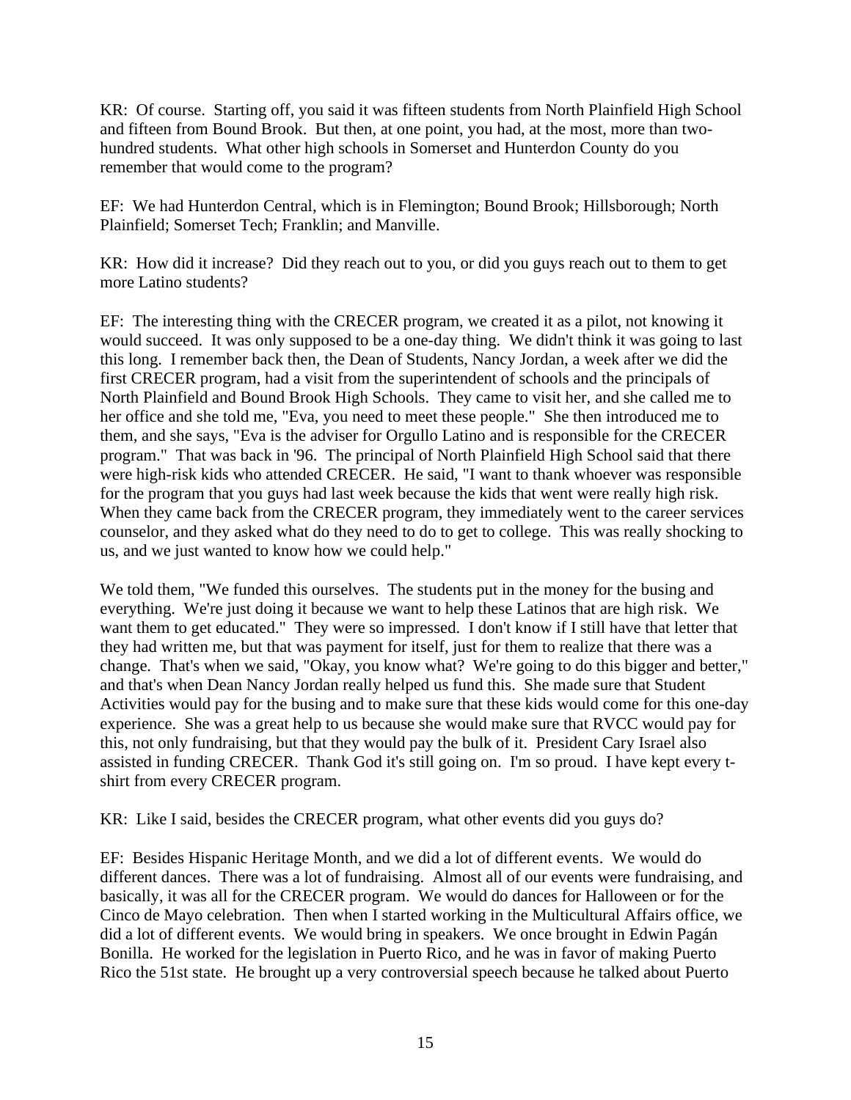KR: Of course. Starting off, you said it was fifteen students from North Plainfield High School and fifteen from Bound Brook. But then, at one point, you had, at the most, more than twohundred students. What other high schools in Somerset and Hunterdon County do you remember that would come to the program?

EF: We had Hunterdon Central, which is in Flemington; Bound Brook; Hillsborough; North Plainfield; Somerset Tech; Franklin; and Manville.

KR: How did it increase? Did they reach out to you, or did you guys reach out to them to get more Latino students?

EF: The interesting thing with the CRECER program, we created it as a pilot, not knowing it would succeed. It was only supposed to be a one-day thing. We didn't think it was going to last this long. I remember back then, the Dean of Students, Nancy Jordan, a week after we did the first CRECER program, had a visit from the superintendent of schools and the principals of North Plainfield and Bound Brook High Schools. They came to visit her, and she called me to her office and she told me, "Eva, you need to meet these people." She then introduced me to them, and she says, "Eva is the adviser for Orgullo Latino and is responsible for the CRECER program." That was back in '96. The principal of North Plainfield High School said that there were high-risk kids who attended CRECER. He said, "I want to thank whoever was responsible for the program that you guys had last week because the kids that went were really high risk. When they came back from the CRECER program, they immediately went to the career services counselor, and they asked what do they need to do to get to college. This was really shocking to us, and we just wanted to know how we could help."

We told them, "We funded this ourselves. The students put in the money for the busing and everything. We're just doing it because we want to help these Latinos that are high risk. We want them to get educated." They were so impressed. I don't know if I still have that letter that they had written me, but that was payment for itself, just for them to realize that there was a change. That's when we said, "Okay, you know what? We're going to do this bigger and better," and that's when Dean Nancy Jordan really helped us fund this. She made sure that Student Activities would pay for the busing and to make sure that these kids would come for this one-day experience. She was a great help to us because she would make sure that RVCC would pay for this, not only fundraising, but that they would pay the bulk of it. President Cary Israel also assisted in funding CRECER. Thank God it's still going on. I'm so proud. I have kept every tshirt from every CRECER program.

KR: Like I said, besides the CRECER program, what other events did you guys do?

EF: Besides Hispanic Heritage Month, and we did a lot of different events. We would do different dances. There was a lot of fundraising. Almost all of our events were fundraising, and basically, it was all for the CRECER program. We would do dances for Halloween or for the Cinco de Mayo celebration. Then when I started working in the Multicultural Affairs office, we did a lot of different events. We would bring in speakers. We once brought in Edwin Pagán Bonilla. He worked for the legislation in Puerto Rico, and he was in favor of making Puerto Rico the 51st state. He brought up a very controversial speech because he talked about Puerto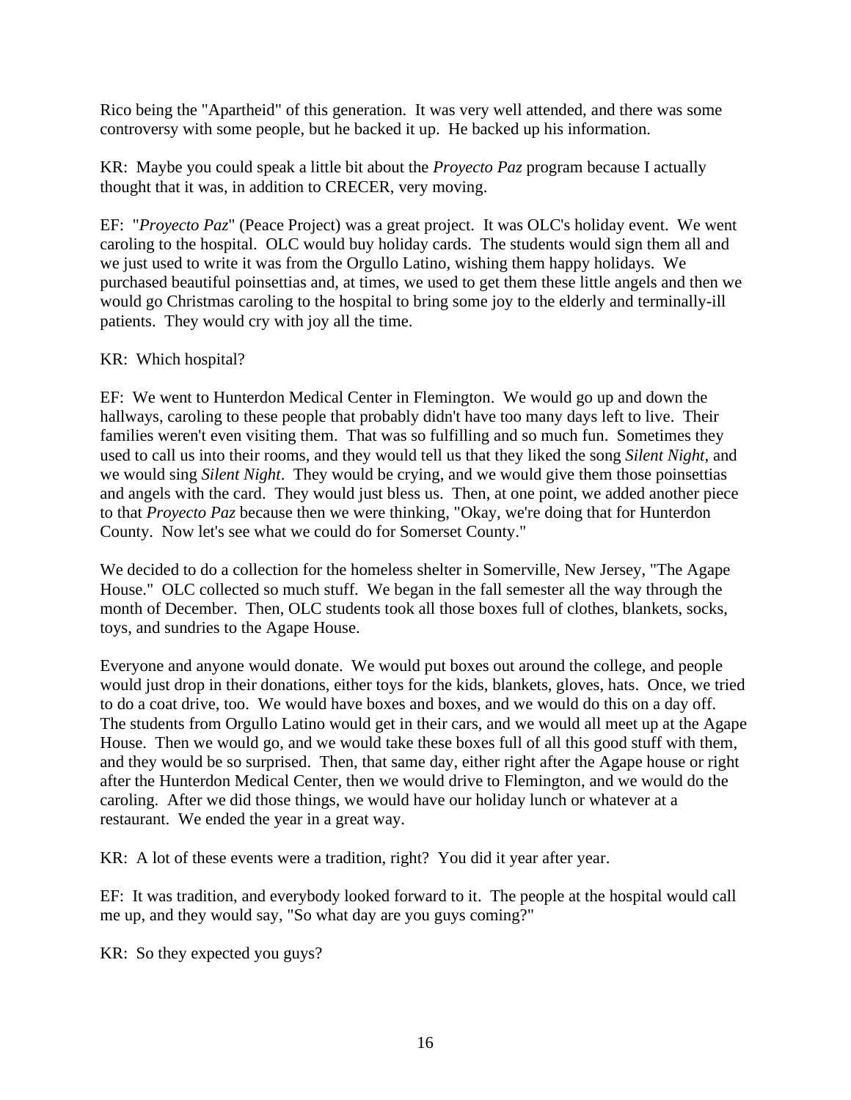Rico being the "Apartheid" of this generation. It was very well attended, and there was some controversy with some people, but he backed it up. He backed up his information.

KR: Maybe you could speak a little bit about the *Proyecto Paz* program because I actually thought that it was, in addition to CRECER, very moving.

EF: "*Proyecto Paz*" (Peace Project) was a great project. It was OLC's holiday event. We went caroling to the hospital. OLC would buy holiday cards. The students would sign them all and we just used to write it was from the Orgullo Latino, wishing them happy holidays. We purchased beautiful poinsettias and, at times, we used to get them these little angels and then we would go Christmas caroling to the hospital to bring some joy to the elderly and terminally-ill patients. They would cry with joy all the time.

### KR: Which hospital?

EF: We went to Hunterdon Medical Center in Flemington. We would go up and down the hallways, caroling to these people that probably didn't have too many days left to live. Their families weren't even visiting them. That was so fulfilling and so much fun. Sometimes they used to call us into their rooms, and they would tell us that they liked the song *Silent Night*, and we would sing *Silent Night*. They would be crying, and we would give them those poinsettias and angels with the card. They would just bless us. Then, at one point, we added another piece to that *Proyecto Paz* because then we were thinking, "Okay, we're doing that for Hunterdon County. Now let's see what we could do for Somerset County."

We decided to do a collection for the homeless shelter in Somerville, New Jersey, "The Agape House." OLC collected so much stuff. We began in the fall semester all the way through the month of December. Then, OLC students took all those boxes full of clothes, blankets, socks, toys, and sundries to the Agape House.

Everyone and anyone would donate. We would put boxes out around the college, and people would just drop in their donations, either toys for the kids, blankets, gloves, hats. Once, we tried to do a coat drive, too. We would have boxes and boxes, and we would do this on a day off. The students from Orgullo Latino would get in their cars, and we would all meet up at the Agape House. Then we would go, and we would take these boxes full of all this good stuff with them, and they would be so surprised. Then, that same day, either right after the Agape house or right after the Hunterdon Medical Center, then we would drive to Flemington, and we would do the caroling. After we did those things, we would have our holiday lunch or whatever at a restaurant. We ended the year in a great way.

KR: A lot of these events were a tradition, right? You did it year after year.

EF: It was tradition, and everybody looked forward to it. The people at the hospital would call me up, and they would say, "So what day are you guys coming?"

KR: So they expected you guys?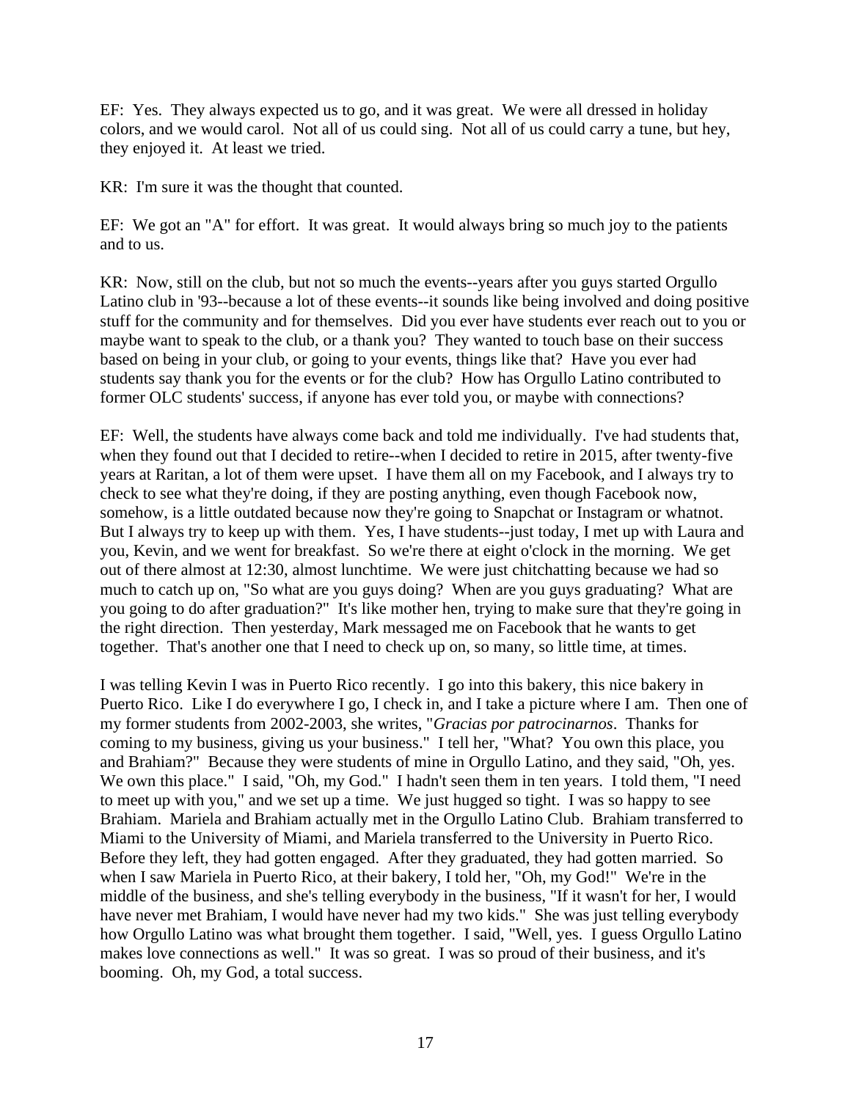EF: Yes. They always expected us to go, and it was great. We were all dressed in holiday colors, and we would carol. Not all of us could sing. Not all of us could carry a tune, but hey, they enjoyed it. At least we tried.

KR: I'm sure it was the thought that counted.

EF: We got an "A" for effort. It was great. It would always bring so much joy to the patients and to us.

KR: Now, still on the club, but not so much the events--years after you guys started Orgullo Latino club in '93--because a lot of these events--it sounds like being involved and doing positive stuff for the community and for themselves. Did you ever have students ever reach out to you or maybe want to speak to the club, or a thank you? They wanted to touch base on their success based on being in your club, or going to your events, things like that? Have you ever had students say thank you for the events or for the club? How has Orgullo Latino contributed to former OLC students' success, if anyone has ever told you, or maybe with connections?

EF: Well, the students have always come back and told me individually. I've had students that, when they found out that I decided to retire--when I decided to retire in 2015, after twenty-five years at Raritan, a lot of them were upset. I have them all on my Facebook, and I always try to check to see what they're doing, if they are posting anything, even though Facebook now, somehow, is a little outdated because now they're going to Snapchat or Instagram or whatnot. But I always try to keep up with them. Yes, I have students--just today, I met up with Laura and you, Kevin, and we went for breakfast. So we're there at eight o'clock in the morning. We get out of there almost at 12:30, almost lunchtime. We were just chitchatting because we had so much to catch up on, "So what are you guys doing? When are you guys graduating? What are you going to do after graduation?" It's like mother hen, trying to make sure that they're going in the right direction. Then yesterday, Mark messaged me on Facebook that he wants to get together. That's another one that I need to check up on, so many, so little time, at times.

I was telling Kevin I was in Puerto Rico recently. I go into this bakery, this nice bakery in Puerto Rico. Like I do everywhere I go, I check in, and I take a picture where I am. Then one of my former students from 2002-2003, she writes, "*Gracias por patrocinarnos*. Thanks for coming to my business, giving us your business." I tell her, "What? You own this place, you and Brahiam?" Because they were students of mine in Orgullo Latino, and they said, "Oh, yes. We own this place." I said, "Oh, my God." I hadn't seen them in ten years. I told them, "I need to meet up with you," and we set up a time. We just hugged so tight. I was so happy to see Brahiam. Mariela and Brahiam actually met in the Orgullo Latino Club. Brahiam transferred to Miami to the University of Miami, and Mariela transferred to the University in Puerto Rico. Before they left, they had gotten engaged. After they graduated, they had gotten married. So when I saw Mariela in Puerto Rico, at their bakery, I told her, "Oh, my God!" We're in the middle of the business, and she's telling everybody in the business, "If it wasn't for her, I would have never met Brahiam, I would have never had my two kids." She was just telling everybody how Orgullo Latino was what brought them together. I said, "Well, yes. I guess Orgullo Latino makes love connections as well." It was so great. I was so proud of their business, and it's booming. Oh, my God, a total success.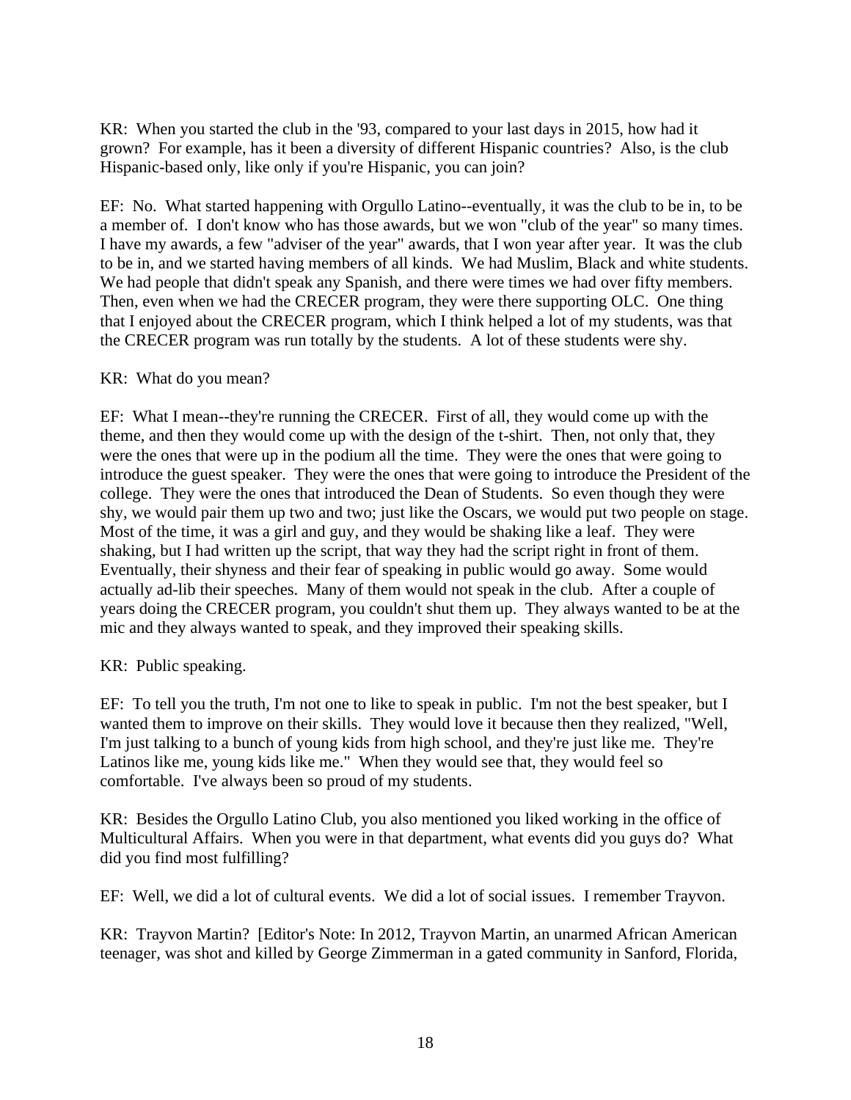KR: When you started the club in the '93, compared to your last days in 2015, how had it grown? For example, has it been a diversity of different Hispanic countries? Also, is the club Hispanic-based only, like only if you're Hispanic, you can join?

EF: No. What started happening with Orgullo Latino--eventually, it was the club to be in, to be a member of. I don't know who has those awards, but we won "club of the year" so many times. I have my awards, a few "adviser of the year" awards, that I won year after year. It was the club to be in, and we started having members of all kinds. We had Muslim, Black and white students. We had people that didn't speak any Spanish, and there were times we had over fifty members. Then, even when we had the CRECER program, they were there supporting OLC. One thing that I enjoyed about the CRECER program, which I think helped a lot of my students, was that the CRECER program was run totally by the students. A lot of these students were shy.

### KR: What do you mean?

EF: What I mean--they're running the CRECER. First of all, they would come up with the theme, and then they would come up with the design of the t-shirt. Then, not only that, they were the ones that were up in the podium all the time. They were the ones that were going to introduce the guest speaker. They were the ones that were going to introduce the President of the college. They were the ones that introduced the Dean of Students. So even though they were shy, we would pair them up two and two; just like the Oscars, we would put two people on stage. Most of the time, it was a girl and guy, and they would be shaking like a leaf. They were shaking, but I had written up the script, that way they had the script right in front of them. Eventually, their shyness and their fear of speaking in public would go away. Some would actually ad-lib their speeches. Many of them would not speak in the club. After a couple of years doing the CRECER program, you couldn't shut them up. They always wanted to be at the mic and they always wanted to speak, and they improved their speaking skills.

#### KR: Public speaking.

EF: To tell you the truth, I'm not one to like to speak in public. I'm not the best speaker, but I wanted them to improve on their skills. They would love it because then they realized, "Well, I'm just talking to a bunch of young kids from high school, and they're just like me. They're Latinos like me, young kids like me." When they would see that, they would feel so comfortable. I've always been so proud of my students.

KR: Besides the Orgullo Latino Club, you also mentioned you liked working in the office of Multicultural Affairs. When you were in that department, what events did you guys do? What did you find most fulfilling?

EF: Well, we did a lot of cultural events. We did a lot of social issues. I remember Trayvon.

KR: Trayvon Martin? [Editor's Note: In 2012, Trayvon Martin, an unarmed African American teenager, was shot and killed by George Zimmerman in a gated community in Sanford, Florida,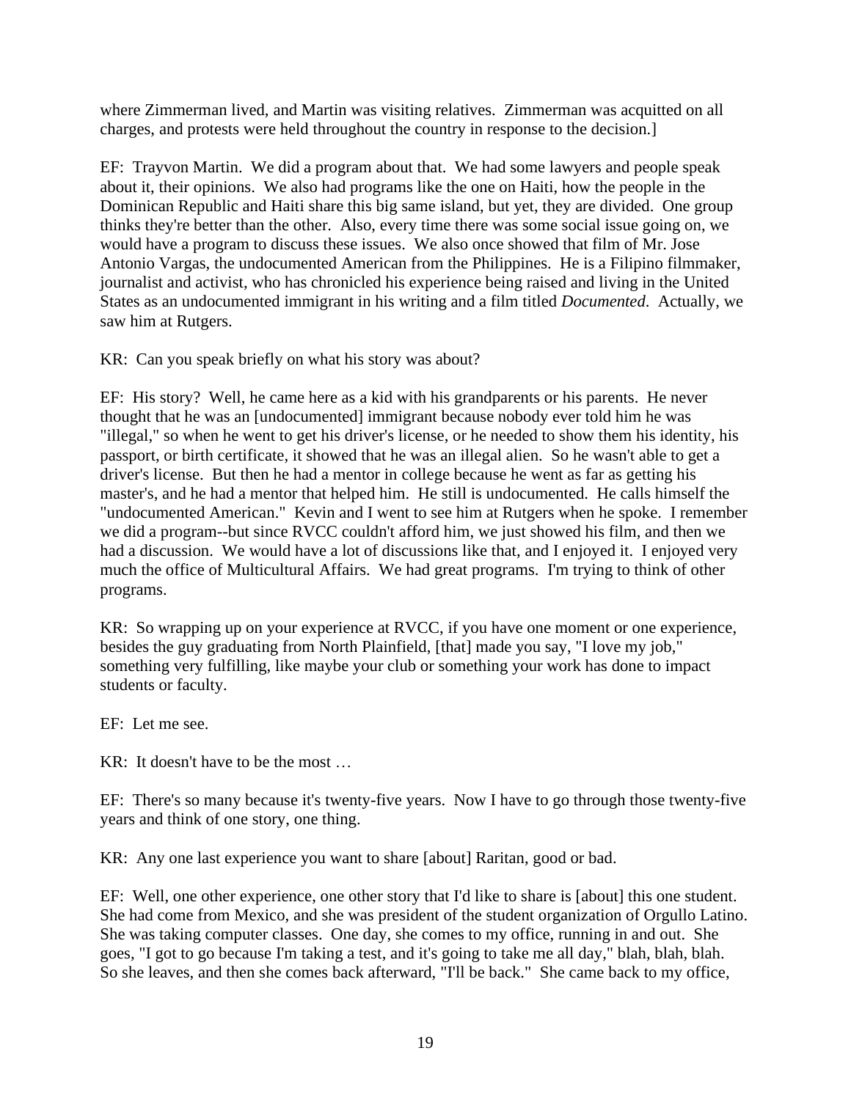where Zimmerman lived, and Martin was visiting relatives. Zimmerman was acquitted on all charges, and protests were held throughout the country in response to the decision.]

EF: Trayvon Martin. We did a program about that. We had some lawyers and people speak about it, their opinions. We also had programs like the one on Haiti, how the people in the Dominican Republic and Haiti share this big same island, but yet, they are divided. One group thinks they're better than the other. Also, every time there was some social issue going on, we would have a program to discuss these issues. We also once showed that film of Mr. Jose Antonio Vargas, the undocumented American from the Philippines. He is a Filipino filmmaker, journalist and activist, who has chronicled his experience being raised and living in the United States as an undocumented immigrant in his writing and a film titled *Documented*. Actually, we saw him at Rutgers.

KR: Can you speak briefly on what his story was about?

EF: His story? Well, he came here as a kid with his grandparents or his parents. He never thought that he was an [undocumented] immigrant because nobody ever told him he was "illegal," so when he went to get his driver's license, or he needed to show them his identity, his passport, or birth certificate, it showed that he was an illegal alien. So he wasn't able to get a driver's license. But then he had a mentor in college because he went as far as getting his master's, and he had a mentor that helped him. He still is undocumented. He calls himself the "undocumented American." Kevin and I went to see him at Rutgers when he spoke. I remember we did a program--but since RVCC couldn't afford him, we just showed his film, and then we had a discussion. We would have a lot of discussions like that, and I enjoyed it. I enjoyed very much the office of Multicultural Affairs. We had great programs. I'm trying to think of other programs.

KR: So wrapping up on your experience at RVCC, if you have one moment or one experience, besides the guy graduating from North Plainfield, [that] made you say, "I love my job," something very fulfilling, like maybe your club or something your work has done to impact students or faculty.

EF: Let me see.

KR: It doesn't have to be the most …

EF: There's so many because it's twenty-five years. Now I have to go through those twenty-five years and think of one story, one thing.

KR: Any one last experience you want to share [about] Raritan, good or bad.

EF: Well, one other experience, one other story that I'd like to share is [about] this one student. She had come from Mexico, and she was president of the student organization of Orgullo Latino. She was taking computer classes. One day, she comes to my office, running in and out. She goes, "I got to go because I'm taking a test, and it's going to take me all day," blah, blah, blah. So she leaves, and then she comes back afterward, "I'll be back." She came back to my office,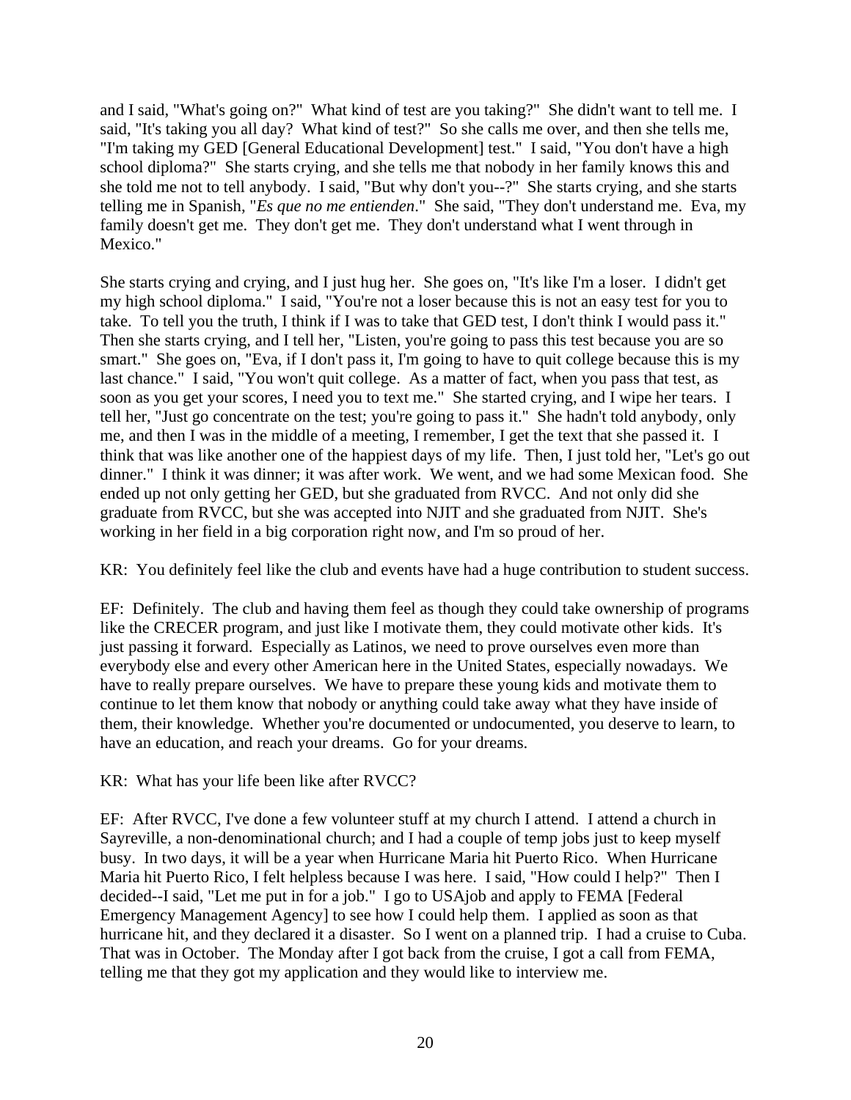and I said, "What's going on?" What kind of test are you taking?" She didn't want to tell me. I said, "It's taking you all day? What kind of test?" So she calls me over, and then she tells me, "I'm taking my GED [General Educational Development] test." I said, "You don't have a high school diploma?" She starts crying, and she tells me that nobody in her family knows this and she told me not to tell anybody. I said, "But why don't you--?" She starts crying, and she starts telling me in Spanish, "*Es que no me entienden*." She said, "They don't understand me. Eva, my family doesn't get me. They don't get me. They don't understand what I went through in Mexico."

She starts crying and crying, and I just hug her. She goes on, "It's like I'm a loser. I didn't get my high school diploma." I said, "You're not a loser because this is not an easy test for you to take. To tell you the truth, I think if I was to take that GED test, I don't think I would pass it." Then she starts crying, and I tell her, "Listen, you're going to pass this test because you are so smart." She goes on, "Eva, if I don't pass it, I'm going to have to quit college because this is my last chance." I said, "You won't quit college. As a matter of fact, when you pass that test, as soon as you get your scores, I need you to text me." She started crying, and I wipe her tears. I tell her, "Just go concentrate on the test; you're going to pass it." She hadn't told anybody, only me, and then I was in the middle of a meeting, I remember, I get the text that she passed it. I think that was like another one of the happiest days of my life. Then, I just told her, "Let's go out dinner." I think it was dinner; it was after work. We went, and we had some Mexican food. She ended up not only getting her GED, but she graduated from RVCC. And not only did she graduate from RVCC, but she was accepted into NJIT and she graduated from NJIT. She's working in her field in a big corporation right now, and I'm so proud of her.

KR: You definitely feel like the club and events have had a huge contribution to student success.

EF: Definitely. The club and having them feel as though they could take ownership of programs like the CRECER program, and just like I motivate them, they could motivate other kids. It's just passing it forward. Especially as Latinos, we need to prove ourselves even more than everybody else and every other American here in the United States, especially nowadays. We have to really prepare ourselves. We have to prepare these young kids and motivate them to continue to let them know that nobody or anything could take away what they have inside of them, their knowledge. Whether you're documented or undocumented, you deserve to learn, to have an education, and reach your dreams. Go for your dreams.

KR: What has your life been like after RVCC?

EF: After RVCC, I've done a few volunteer stuff at my church I attend. I attend a church in Sayreville, a non-denominational church; and I had a couple of temp jobs just to keep myself busy. In two days, it will be a year when Hurricane Maria hit Puerto Rico. When Hurricane Maria hit Puerto Rico, I felt helpless because I was here. I said, "How could I help?" Then I decided--I said, "Let me put in for a job." I go to USAjob and apply to FEMA [Federal Emergency Management Agency] to see how I could help them. I applied as soon as that hurricane hit, and they declared it a disaster. So I went on a planned trip. I had a cruise to Cuba. That was in October. The Monday after I got back from the cruise, I got a call from FEMA, telling me that they got my application and they would like to interview me.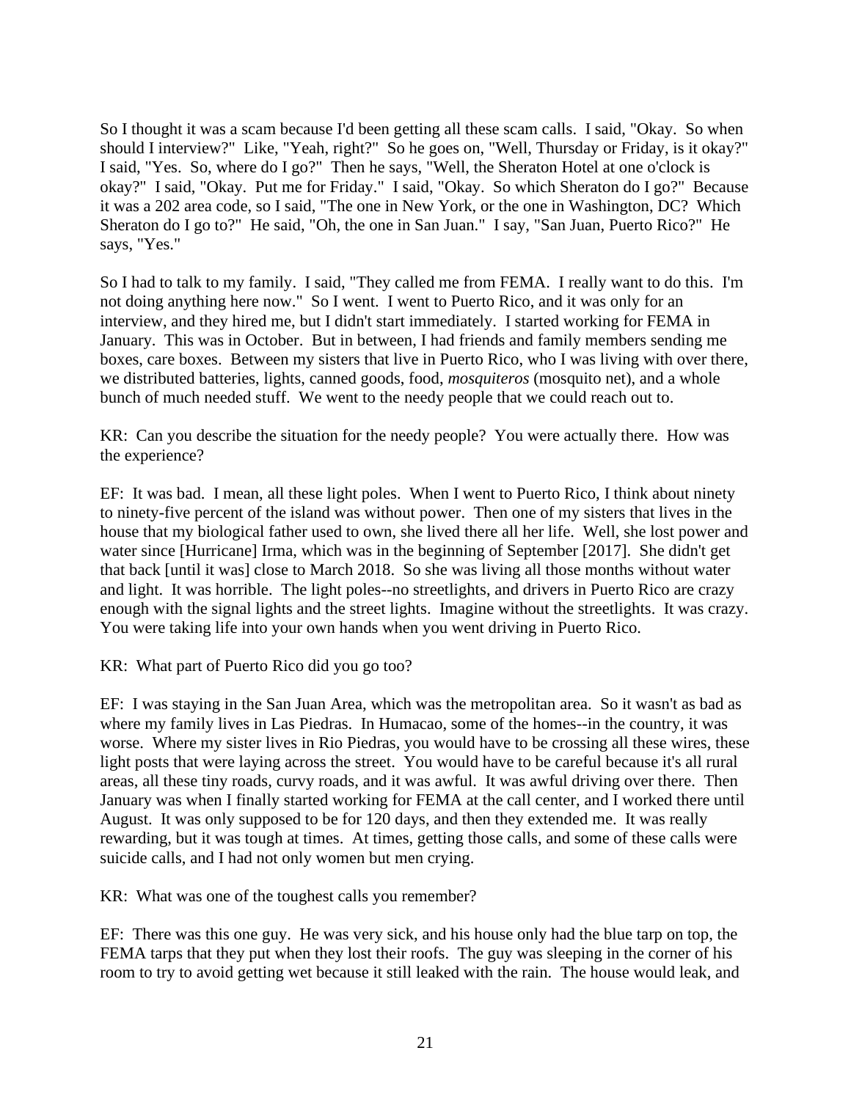So I thought it was a scam because I'd been getting all these scam calls. I said, "Okay. So when should I interview?" Like, "Yeah, right?" So he goes on, "Well, Thursday or Friday, is it okay?" I said, "Yes. So, where do I go?" Then he says, "Well, the Sheraton Hotel at one o'clock is okay?" I said, "Okay. Put me for Friday." I said, "Okay. So which Sheraton do I go?" Because it was a 202 area code, so I said, "The one in New York, or the one in Washington, DC? Which Sheraton do I go to?" He said, "Oh, the one in San Juan." I say, "San Juan, Puerto Rico?" He says, "Yes."

So I had to talk to my family. I said, "They called me from FEMA. I really want to do this. I'm not doing anything here now." So I went. I went to Puerto Rico, and it was only for an interview, and they hired me, but I didn't start immediately. I started working for FEMA in January. This was in October. But in between, I had friends and family members sending me boxes, care boxes. Between my sisters that live in Puerto Rico, who I was living with over there, we distributed batteries, lights, canned goods, food, *mosquiteros* (mosquito net), and a whole bunch of much needed stuff. We went to the needy people that we could reach out to.

KR: Can you describe the situation for the needy people? You were actually there. How was the experience?

EF: It was bad. I mean, all these light poles. When I went to Puerto Rico, I think about ninety to ninety-five percent of the island was without power. Then one of my sisters that lives in the house that my biological father used to own, she lived there all her life. Well, she lost power and water since [Hurricane] Irma, which was in the beginning of September [2017]. She didn't get that back [until it was] close to March 2018. So she was living all those months without water and light. It was horrible. The light poles--no streetlights, and drivers in Puerto Rico are crazy enough with the signal lights and the street lights. Imagine without the streetlights. It was crazy. You were taking life into your own hands when you went driving in Puerto Rico.

KR: What part of Puerto Rico did you go too?

EF: I was staying in the San Juan Area, which was the metropolitan area. So it wasn't as bad as where my family lives in Las Piedras. In Humacao, some of the homes--in the country, it was worse. Where my sister lives in Rio Piedras, you would have to be crossing all these wires, these light posts that were laying across the street. You would have to be careful because it's all rural areas, all these tiny roads, curvy roads, and it was awful. It was awful driving over there. Then January was when I finally started working for FEMA at the call center, and I worked there until August. It was only supposed to be for 120 days, and then they extended me. It was really rewarding, but it was tough at times. At times, getting those calls, and some of these calls were suicide calls, and I had not only women but men crying.

KR: What was one of the toughest calls you remember?

EF: There was this one guy. He was very sick, and his house only had the blue tarp on top, the FEMA tarps that they put when they lost their roofs. The guy was sleeping in the corner of his room to try to avoid getting wet because it still leaked with the rain. The house would leak, and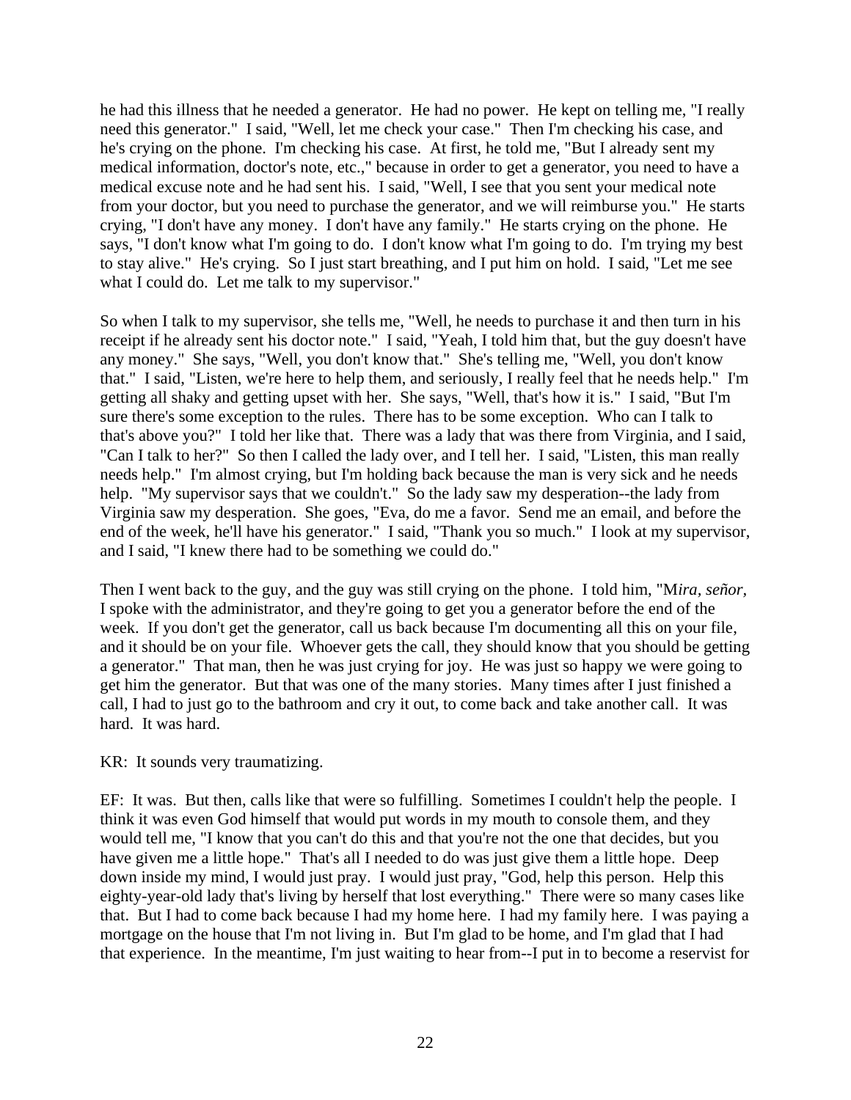he had this illness that he needed a generator. He had no power. He kept on telling me, "I really need this generator." I said, "Well, let me check your case." Then I'm checking his case, and he's crying on the phone. I'm checking his case. At first, he told me, "But I already sent my medical information, doctor's note, etc.," because in order to get a generator, you need to have a medical excuse note and he had sent his. I said, "Well, I see that you sent your medical note from your doctor, but you need to purchase the generator, and we will reimburse you." He starts crying, "I don't have any money. I don't have any family." He starts crying on the phone. He says, "I don't know what I'm going to do. I don't know what I'm going to do. I'm trying my best to stay alive." He's crying. So I just start breathing, and I put him on hold. I said, "Let me see what I could do. Let me talk to my supervisor."

So when I talk to my supervisor, she tells me, "Well, he needs to purchase it and then turn in his receipt if he already sent his doctor note." I said, "Yeah, I told him that, but the guy doesn't have any money." She says, "Well, you don't know that." She's telling me, "Well, you don't know that." I said, "Listen, we're here to help them, and seriously, I really feel that he needs help." I'm getting all shaky and getting upset with her. She says, "Well, that's how it is." I said, "But I'm sure there's some exception to the rules. There has to be some exception. Who can I talk to that's above you?" I told her like that. There was a lady that was there from Virginia, and I said, "Can I talk to her?" So then I called the lady over, and I tell her. I said, "Listen, this man really needs help." I'm almost crying, but I'm holding back because the man is very sick and he needs help. "My supervisor says that we couldn't." So the lady saw my desperation--the lady from Virginia saw my desperation. She goes, "Eva, do me a favor. Send me an email, and before the end of the week, he'll have his generator." I said, "Thank you so much." I look at my supervisor, and I said, "I knew there had to be something we could do."

Then I went back to the guy, and the guy was still crying on the phone. I told him, "M*ira, señor,* I spoke with the administrator, and they're going to get you a generator before the end of the week. If you don't get the generator, call us back because I'm documenting all this on your file, and it should be on your file. Whoever gets the call, they should know that you should be getting a generator." That man, then he was just crying for joy. He was just so happy we were going to get him the generator. But that was one of the many stories. Many times after I just finished a call, I had to just go to the bathroom and cry it out, to come back and take another call. It was hard. It was hard.

#### KR: It sounds very traumatizing.

EF: It was. But then, calls like that were so fulfilling. Sometimes I couldn't help the people. I think it was even God himself that would put words in my mouth to console them, and they would tell me, "I know that you can't do this and that you're not the one that decides, but you have given me a little hope." That's all I needed to do was just give them a little hope. Deep down inside my mind, I would just pray. I would just pray, "God, help this person. Help this eighty-year-old lady that's living by herself that lost everything." There were so many cases like that. But I had to come back because I had my home here. I had my family here. I was paying a mortgage on the house that I'm not living in. But I'm glad to be home, and I'm glad that I had that experience. In the meantime, I'm just waiting to hear from--I put in to become a reservist for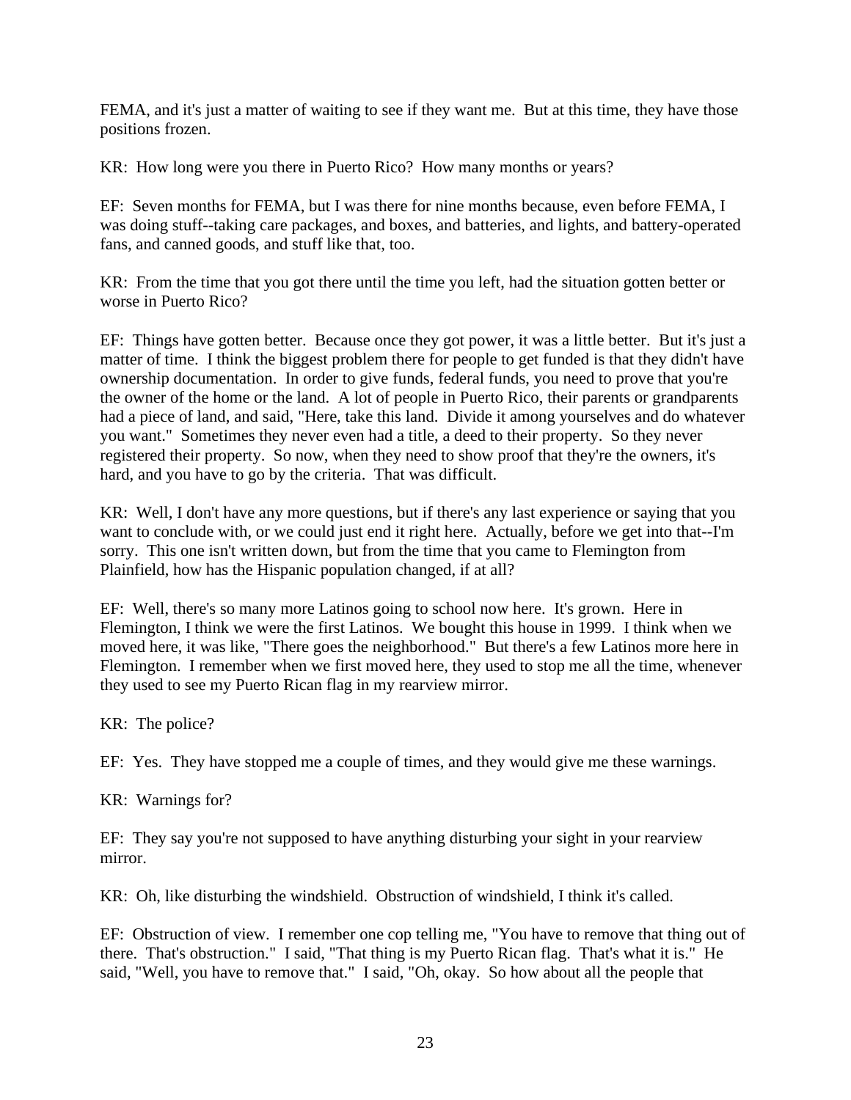FEMA, and it's just a matter of waiting to see if they want me. But at this time, they have those positions frozen.

KR: How long were you there in Puerto Rico? How many months or years?

EF: Seven months for FEMA, but I was there for nine months because, even before FEMA, I was doing stuff--taking care packages, and boxes, and batteries, and lights, and battery-operated fans, and canned goods, and stuff like that, too.

KR: From the time that you got there until the time you left, had the situation gotten better or worse in Puerto Rico?

EF: Things have gotten better. Because once they got power, it was a little better. But it's just a matter of time. I think the biggest problem there for people to get funded is that they didn't have ownership documentation. In order to give funds, federal funds, you need to prove that you're the owner of the home or the land. A lot of people in Puerto Rico, their parents or grandparents had a piece of land, and said, "Here, take this land. Divide it among yourselves and do whatever you want." Sometimes they never even had a title, a deed to their property. So they never registered their property. So now, when they need to show proof that they're the owners, it's hard, and you have to go by the criteria. That was difficult.

KR: Well, I don't have any more questions, but if there's any last experience or saying that you want to conclude with, or we could just end it right here. Actually, before we get into that--I'm sorry. This one isn't written down, but from the time that you came to Flemington from Plainfield, how has the Hispanic population changed, if at all?

EF: Well, there's so many more Latinos going to school now here. It's grown. Here in Flemington, I think we were the first Latinos. We bought this house in 1999. I think when we moved here, it was like, "There goes the neighborhood." But there's a few Latinos more here in Flemington. I remember when we first moved here, they used to stop me all the time, whenever they used to see my Puerto Rican flag in my rearview mirror.

KR: The police?

EF: Yes. They have stopped me a couple of times, and they would give me these warnings.

KR: Warnings for?

EF: They say you're not supposed to have anything disturbing your sight in your rearview mirror.

KR: Oh, like disturbing the windshield. Obstruction of windshield, I think it's called.

EF: Obstruction of view. I remember one cop telling me, "You have to remove that thing out of there. That's obstruction." I said, "That thing is my Puerto Rican flag. That's what it is." He said, "Well, you have to remove that." I said, "Oh, okay. So how about all the people that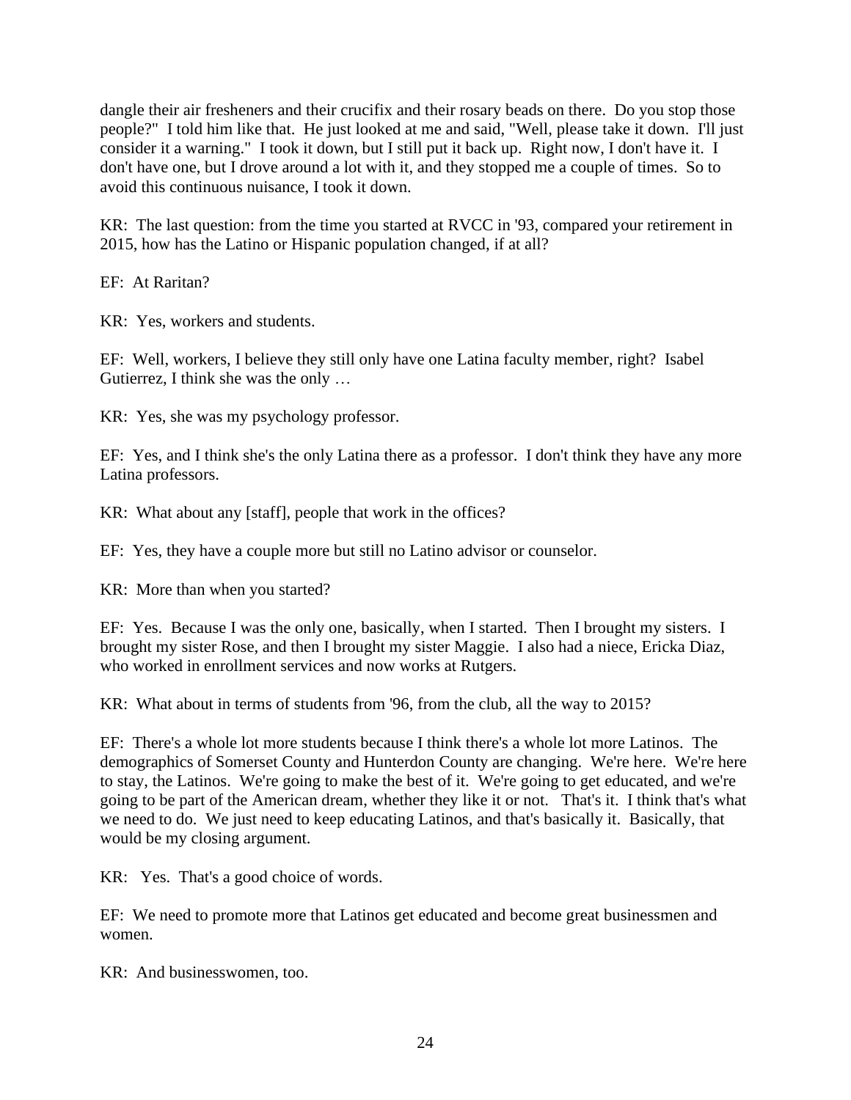dangle their air fresheners and their crucifix and their rosary beads on there. Do you stop those people?" I told him like that. He just looked at me and said, "Well, please take it down. I'll just consider it a warning." I took it down, but I still put it back up. Right now, I don't have it. I don't have one, but I drove around a lot with it, and they stopped me a couple of times. So to avoid this continuous nuisance, I took it down.

KR: The last question: from the time you started at RVCC in '93, compared your retirement in 2015, how has the Latino or Hispanic population changed, if at all?

EF: At Raritan?

KR: Yes, workers and students.

EF: Well, workers, I believe they still only have one Latina faculty member, right? Isabel Gutierrez, I think she was the only …

KR: Yes, she was my psychology professor.

EF: Yes, and I think she's the only Latina there as a professor. I don't think they have any more Latina professors.

KR: What about any [staff], people that work in the offices?

EF: Yes, they have a couple more but still no Latino advisor or counselor.

KR: More than when you started?

EF: Yes. Because I was the only one, basically, when I started. Then I brought my sisters. I brought my sister Rose, and then I brought my sister Maggie. I also had a niece, Ericka Diaz, who worked in enrollment services and now works at Rutgers.

KR: What about in terms of students from '96, from the club, all the way to 2015?

EF: There's a whole lot more students because I think there's a whole lot more Latinos. The demographics of Somerset County and Hunterdon County are changing. We're here. We're here to stay, the Latinos. We're going to make the best of it. We're going to get educated, and we're going to be part of the American dream, whether they like it or not. That's it. I think that's what we need to do. We just need to keep educating Latinos, and that's basically it. Basically, that would be my closing argument.

KR: Yes. That's a good choice of words.

EF: We need to promote more that Latinos get educated and become great businessmen and women.

KR: And businesswomen, too.